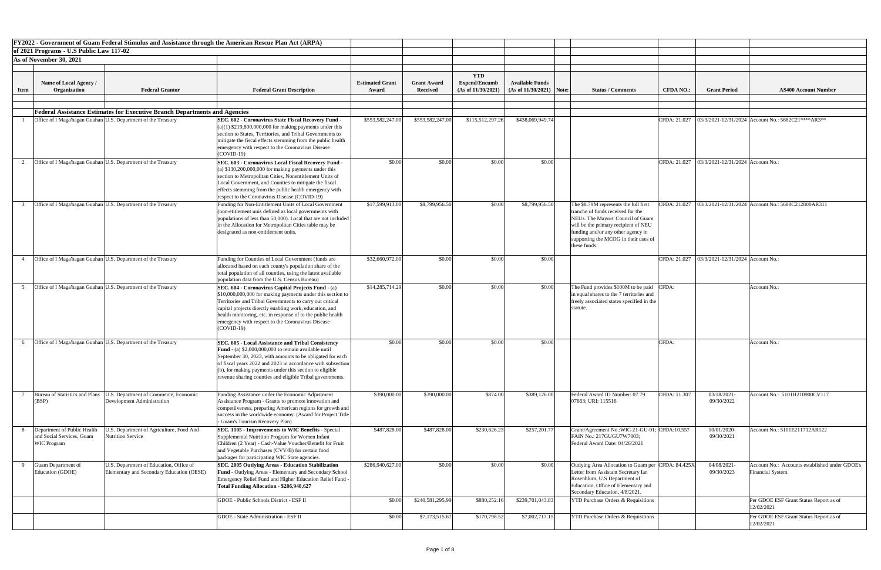|             | FY2022 - Government of Guam Federal Stimulus and Assistance through the American Rescue Plan Act (ARPA)                                                |                                                                                                                                                                                                                                                                                                                                                                             |                                 |                                       |                                                          |                                                      |                                                                                                                                                                                                                                                       |                  |                                                |                                                                     |
|-------------|--------------------------------------------------------------------------------------------------------------------------------------------------------|-----------------------------------------------------------------------------------------------------------------------------------------------------------------------------------------------------------------------------------------------------------------------------------------------------------------------------------------------------------------------------|---------------------------------|---------------------------------------|----------------------------------------------------------|------------------------------------------------------|-------------------------------------------------------------------------------------------------------------------------------------------------------------------------------------------------------------------------------------------------------|------------------|------------------------------------------------|---------------------------------------------------------------------|
|             | of 2021 Programs - U.S Public Law 117-02                                                                                                               |                                                                                                                                                                                                                                                                                                                                                                             |                                 |                                       |                                                          |                                                      |                                                                                                                                                                                                                                                       |                  |                                                |                                                                     |
|             | As of November 30, 2021                                                                                                                                |                                                                                                                                                                                                                                                                                                                                                                             |                                 |                                       |                                                          |                                                      |                                                                                                                                                                                                                                                       |                  |                                                |                                                                     |
|             |                                                                                                                                                        |                                                                                                                                                                                                                                                                                                                                                                             |                                 |                                       |                                                          |                                                      |                                                                                                                                                                                                                                                       |                  |                                                |                                                                     |
| <b>Item</b> | Name of Local Agency /<br><b>Federal Grantor</b><br>Organization                                                                                       | <b>Federal Grant Description</b>                                                                                                                                                                                                                                                                                                                                            | <b>Estimated Grant</b><br>Award | <b>Grant Award</b><br><b>Received</b> | <b>YTD</b><br><b>Expend/Encumb</b><br>(As of 11/30/2021) | <b>Available Funds</b><br>$(As of 11/30/2021)$ Note: | <b>Status / Comments</b>                                                                                                                                                                                                                              | <b>CFDA NO.:</b> | <b>Grant Period</b>                            | <b>AS400 Account Number</b>                                         |
|             |                                                                                                                                                        |                                                                                                                                                                                                                                                                                                                                                                             |                                 |                                       |                                                          |                                                      |                                                                                                                                                                                                                                                       |                  |                                                |                                                                     |
|             | <b>Federal Assistance Estimates for Executive Branch Departments and Agencies</b>                                                                      |                                                                                                                                                                                                                                                                                                                                                                             |                                 |                                       |                                                          |                                                      |                                                                                                                                                                                                                                                       |                  |                                                |                                                                     |
|             | Office of I Maga'hagan Guahan U.S. Department of the Treasury                                                                                          | <b>SEC. 602 - Coronavirus State Fiscal Recovery Fund</b>                                                                                                                                                                                                                                                                                                                    | \$553,582,247.00                | \$553,582,247.00                      | \$115,512,297.26                                         | \$438,069,949.74                                     |                                                                                                                                                                                                                                                       | CFDA: 21.027     |                                                | $\vert$ 03/3/2021-12/31/2024 Account No.: 5682C21****AR3**          |
|             |                                                                                                                                                        | $(a)(1)$ \$219,800,000,000 for making payments under this<br>section to States, Territories, and Tribal Governments to<br>mitigate the fiscal effects stemming from the public health<br>emergency with respect to the Coronavirus Disease<br>$(COVID-19)$                                                                                                                  |                                 |                                       |                                                          |                                                      |                                                                                                                                                                                                                                                       |                  |                                                |                                                                     |
|             | Office of I Maga hagan Guahan U.S. Department of the Treasury                                                                                          | SEC. 603 - Coronavirus Local Fiscal Recovery Fund<br>(a) $$130,200,000,000$ for making payments under this<br>section to Metropolitan Cities, Nonentitlement Units of<br>Local Government, and Counties to mitigate the fiscal<br>effects stemming from the public health emergency with<br>respect to the Coronavirus Disease (COVID-19)                                   | \$0.00                          | \$0.00                                | \$0.00                                                   | \$0.00                                               |                                                                                                                                                                                                                                                       |                  | CFDA: 21.027 03/3/2021-12/31/2024 Account No.: |                                                                     |
|             | Office of I Maga hagan Guahan U.S. Department of the Treasury                                                                                          | Funding for Non-Entitlement Units of Local Government<br>(non-etitlement unis defined as local governments with<br>populations of less than 50,000). Local that are not included<br>in the Allocation for Metropolitan Cities table may be<br>designated as non-entitlement units.                                                                                          | \$17,599,913.00                 | \$8,799,956.50                        | \$0.00                                                   | \$8,799,956.50                                       | The \$8.79M represents the full first<br>tranche of funds received for the<br>NEUs. The Mayors' Council of Guam<br>will be the primary recipient of NEU<br>funding and/or any other agency in<br>supporting the MCOG in their uses of<br>these funds. | CFDA: 21.027     |                                                | 03/3/2021-12/31/2024 Account No.: 5688C212800AR311                  |
|             | Office of I Maga hagan Guahan U.S. Department of the Treasury                                                                                          | Funding for Counties of Local Government (funds are<br>allocated based on each county's population share of the<br>total population of all counties, using the latest available                                                                                                                                                                                             | \$32,660,972.00                 | \$0.00                                | \$0.00                                                   | \$0.00                                               |                                                                                                                                                                                                                                                       | CFDA: 21.027     | $03/3/2021 - 12/31/2024$ Account No.:          |                                                                     |
|             |                                                                                                                                                        | population data from the U.S. Census Bureau)                                                                                                                                                                                                                                                                                                                                |                                 |                                       |                                                          |                                                      |                                                                                                                                                                                                                                                       |                  |                                                |                                                                     |
|             | Office of I Maga hagan Guahan U.S. Department of the Treasury                                                                                          | SEC. 604 - Coronavirus Capital Projects Fund - (a)<br>\$10,000,000,000 for making payments under this section to<br>Territories and Tribal Governments to carry out critical<br>capital projects directly enabling work, education, and<br>health monitoring, etc. in response of to the public health<br>emergency with respect to the Coronavirus Disease<br>$(COVID-19)$ | \$14,285,714.29                 | \$0.00                                | \$0.00                                                   | \$0.00                                               | The Fund provides \$100M to be paid CFDA:<br>in equal shares to the 7 territories and<br>freely associated states specified in the<br>statute.                                                                                                        |                  |                                                | Account No.:                                                        |
|             | Office of I Maga hagan Guahan U.S. Department of the Treasury                                                                                          | SEC. 605 - Local Assistance and Tribal Consistency                                                                                                                                                                                                                                                                                                                          | \$0.00                          | \$0.00                                | \$0.00                                                   | \$0.00                                               |                                                                                                                                                                                                                                                       | CFDA:            |                                                | Account No.:                                                        |
|             |                                                                                                                                                        | Fund - (a) \$2,000,000,000 to remain available until<br>September 30, 2023, with amounts to be obligated for each<br>of fiscal years 2022 and 2023 in accordance with subsection<br>$(6)$ , for making payments under this section to eligible<br>revenue sharing counties and eligible Tribal governments.                                                                 |                                 |                                       |                                                          |                                                      |                                                                                                                                                                                                                                                       |                  |                                                |                                                                     |
|             | Bureau of Statistics and Plans<br>U.S. Department of Commerce, Economic<br>(BSP)<br>Development Administration                                         | Funding Assistance under the Economic Adjustment<br>Assistance Program - Grants to promote innovation and<br>competiiveness, preparing American regions for growth and<br>success in the worldwide economy. (Award for Project Title<br>- Guam's Tourism Recovery Plan)                                                                                                     | \$390,000.00                    | \$390,000.00                          | \$874.00                                                 | \$389,126.00                                         | Federal Award ID Number: 07 79<br>07663; URI: 115516                                                                                                                                                                                                  | CFDA: 11.307     | 03/18/2021-<br>09/30/2022                      | Account No.: 5101H210900CV117                                       |
|             | Department of Public Health<br>U.S. Department of Agriculture, Food And<br><b>Nutrition Service</b><br>and Social Services, Guam<br><b>WIC Program</b> | <b>SEC. 1105 - Improvements to WIC Benefits - Special</b><br>Supplemental Nutrition Program for Women Infant<br>Children (2 Year) - Cash-Value Voucher/Benefit for Fruit<br>and Vegetable Purchases (CVV/B) for certain food<br>packages for participating WIC State agencies.                                                                                              | \$487,828.00                    | \$487,828.00                          | \$230,626.23                                             | \$257,201.77                                         | Grant/Agreement No.:WIC-21-GU-01; CFDA:10.557<br>FAIN No.: 217GUGU7W7003;<br>Federal Award Date: 04/26/2021                                                                                                                                           |                  | 10/01/2020-<br>09/30/2021                      | Account No.: 5101E211712AR122                                       |
|             | U.S. Department of Education, Office of<br><b>Guam Department of</b><br>Education (GDOE)<br>Elementary and Secondary Education (OESE)                  | <b>SEC. 2005 Outlying Areas - Education Stabilization</b><br><b>Fund - Outlying Areas - Elementary and Secondary School</b><br>Emergency Relief Fund and Higher Education Relief Fund -<br>Total Funding Allocation - \$286,940,627                                                                                                                                         | \$286,940,627.00                | \$0.00                                | \$0.00                                                   | \$0.00                                               | Outlying Area Allocation to Guam per CFDA: 84.425X<br>Letter from Assistant Secretary Ian<br>Rosenblum, U.S Department of<br>Education, Office of Elementary and<br>Secondary Education, 4/8/2021.                                                    |                  | 04/08/2021-<br>09/30/2023                      | Account No.: Accounts established under GDOE's<br>Financial System. |
|             |                                                                                                                                                        | GDOE - Public Schools District - ESF II                                                                                                                                                                                                                                                                                                                                     | \$0.00                          | \$240,581,295.99                      | \$880,252.16                                             | \$239,701,043.83                                     | <b>YTD Purchase Orders &amp; Requisitions</b>                                                                                                                                                                                                         |                  |                                                | Per GDOE ESF Grant Status Report as of<br>12/02/2021                |
|             |                                                                                                                                                        | <b>GDOE</b> - State Administration - ESF II                                                                                                                                                                                                                                                                                                                                 | \$0.00                          | \$7,173,515.67                        | \$170,798.52                                             | \$7,002,717.15                                       | <b>YTD Purchase Orders &amp; Requisitions</b>                                                                                                                                                                                                         |                  |                                                | Per GDOE ESF Grant Status Report as of<br>12/02/2021                |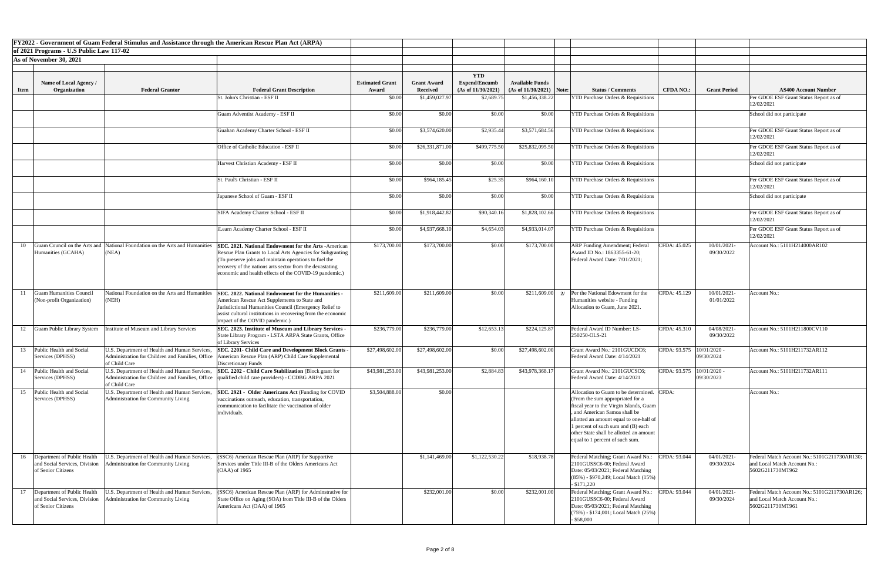|             |                                                                                    | FY2022 - Government of Guam Federal Stimulus and Assistance through the American Rescue Plan Act (ARPA) |                                                                                                                                                                                                                                                                                                          |                        |                    |                                    |                            |                                                                                                                                                                                                                                                                                                                        |                            |                              |                                                                                                  |
|-------------|------------------------------------------------------------------------------------|---------------------------------------------------------------------------------------------------------|----------------------------------------------------------------------------------------------------------------------------------------------------------------------------------------------------------------------------------------------------------------------------------------------------------|------------------------|--------------------|------------------------------------|----------------------------|------------------------------------------------------------------------------------------------------------------------------------------------------------------------------------------------------------------------------------------------------------------------------------------------------------------------|----------------------------|------------------------------|--------------------------------------------------------------------------------------------------|
|             | of 2021 Programs - U.S Public Law 117-02                                           |                                                                                                         |                                                                                                                                                                                                                                                                                                          |                        |                    |                                    |                            |                                                                                                                                                                                                                                                                                                                        |                            |                              |                                                                                                  |
|             | As of November 30, 2021                                                            |                                                                                                         |                                                                                                                                                                                                                                                                                                          |                        |                    |                                    |                            |                                                                                                                                                                                                                                                                                                                        |                            |                              |                                                                                                  |
|             |                                                                                    |                                                                                                         |                                                                                                                                                                                                                                                                                                          |                        |                    |                                    |                            |                                                                                                                                                                                                                                                                                                                        |                            |                              |                                                                                                  |
|             | <b>Name of Local Agency /</b>                                                      |                                                                                                         |                                                                                                                                                                                                                                                                                                          | <b>Estimated Grant</b> | <b>Grant Award</b> | <b>YTD</b><br><b>Expend/Encumb</b> | <b>Available Funds</b>     |                                                                                                                                                                                                                                                                                                                        |                            |                              |                                                                                                  |
| <b>Item</b> | Organization                                                                       | <b>Federal Grantor</b>                                                                                  | <b>Federal Grant Description</b>                                                                                                                                                                                                                                                                         | Award                  | <b>Received</b>    | (As of 11/30/2021)                 | $(As of 11/30/2021)$ Note: | <b>Status / Comments</b>                                                                                                                                                                                                                                                                                               | <b>CFDA NO.:</b>           | <b>Grant Period</b>          | <b>AS400 Account Number</b>                                                                      |
|             |                                                                                    |                                                                                                         | St. John's Christian - ESF II                                                                                                                                                                                                                                                                            | \$0.00                 | \$1,459,027.97     | \$2,689.75                         | \$1,456,338.22             | <b>YTD Purchase Orders &amp; Requisitions</b>                                                                                                                                                                                                                                                                          |                            |                              | Per GDOE ESF Grant Status Report as of                                                           |
|             |                                                                                    |                                                                                                         |                                                                                                                                                                                                                                                                                                          |                        |                    |                                    |                            |                                                                                                                                                                                                                                                                                                                        |                            |                              | 12/02/2021                                                                                       |
|             |                                                                                    |                                                                                                         | Guam Adventist Academy - ESF II                                                                                                                                                                                                                                                                          | \$0.00                 | \$0.00             | \$0.00                             | \$0.00                     | <b>YTD Purchase Orders &amp; Requisitions</b>                                                                                                                                                                                                                                                                          |                            |                              | School did not participate                                                                       |
|             |                                                                                    |                                                                                                         | Guahan Academy Charter School - ESF II                                                                                                                                                                                                                                                                   | \$0.00                 | \$3,574,620.00     | \$2,935.44                         | \$3,571,684.56             | <b>YTD Purchase Orders &amp; Requisitions</b>                                                                                                                                                                                                                                                                          |                            |                              | Per GDOE ESF Grant Status Report as of<br>12/02/2021                                             |
|             |                                                                                    |                                                                                                         | Office of Catholic Education - ESF II                                                                                                                                                                                                                                                                    | \$0.00                 | \$26,331,871.00    | \$499,775.50                       | \$25,832,095.50            | <b>YTD Purchase Orders &amp; Requisitions</b>                                                                                                                                                                                                                                                                          |                            |                              | Per GDOE ESF Grant Status Report as of<br>12/02/2021                                             |
|             |                                                                                    |                                                                                                         | Harvest Christian Academy - ESF II                                                                                                                                                                                                                                                                       | \$0.00                 | \$0.00             | \$0.00                             | \$0.00                     | <b>YTD Purchase Orders &amp; Requisitions</b>                                                                                                                                                                                                                                                                          |                            |                              | School did not participate                                                                       |
|             |                                                                                    |                                                                                                         | St. Paul's Christian - ESF II                                                                                                                                                                                                                                                                            | \$0.00                 | \$964,185.45       | \$25.35                            | \$964,160.10               | <b>YTD Purchase Orders &amp; Requisitions</b>                                                                                                                                                                                                                                                                          |                            |                              | Per GDOE ESF Grant Status Report as of<br>12/02/2021                                             |
|             |                                                                                    |                                                                                                         | Japanese School of Guam - ESF II                                                                                                                                                                                                                                                                         | \$0.00                 | \$0.00             | \$0.00                             | \$0.00                     | <b>YTD Purchase Orders &amp; Requisitions</b>                                                                                                                                                                                                                                                                          |                            |                              | School did not participate                                                                       |
|             |                                                                                    |                                                                                                         | SIFA Academy Charter School - ESF II                                                                                                                                                                                                                                                                     | \$0.00                 | \$1,918,442.82     | \$90,340.16                        | \$1,828,102.66             | <b>YTD Purchase Orders &amp; Requisitions</b>                                                                                                                                                                                                                                                                          |                            |                              | Per GDOE ESF Grant Status Report as of<br>12/02/2021                                             |
|             |                                                                                    |                                                                                                         | iLearn Academy Charter School - ESF II                                                                                                                                                                                                                                                                   | \$0.00                 | \$4,937,668.10     | \$4,654.03                         | \$4,933,014.07             | <b>YTD Purchase Orders &amp; Requisitions</b>                                                                                                                                                                                                                                                                          |                            |                              | Per GDOE ESF Grant Status Report as of<br>12/02/2021                                             |
| 10          | Humanities (GCAHA)                                                                 | Guam Council on the Arts and National Foundation on the Arts and Humanities<br>(NEA)                    | <b>SEC. 2021. National Endowment for the Arts - American</b><br>Rescue Plan Grants to Local Arts Agencies for Subgranting<br>(To preserve jobs and maintain operations to fuel the<br>recovery of the nations arts sector from the devastating<br>economic and health effects of the COVID-19 pandemic.) | \$173,700.00           | \$173,700.00       | \$0.00                             | \$173,700.00               | <b>ARP Funding Amendment; Federal</b><br>Award ID No.: 1863355-61-20;<br>Federal Award Date: 7/01/2021;                                                                                                                                                                                                                | CFDA: 45.025               | 10/01/2021-<br>09/30/2022    | Account No.: 5101H214000AR102                                                                    |
|             | Guam Humanities Counci<br>(Non-profit Organization)                                | National Foundation on the Arts and Humanities<br>(NEH)                                                 | <b>ISEC. 2022. National Endowment for the Humanities -</b><br>American Rescue Act Supplements to State and<br>Jurisdictional Humanities Council (Emergency Relief to<br>assist cultural institutions in recovering from the economic<br>impact of the COVID pandemic.)                                   | \$211,609.00           | \$211,609.00       | \$0.00                             | \$211,609.00               | Per the National Edowment for the<br>Humanities website - Funding<br>Allocation to Guam, June 2021.                                                                                                                                                                                                                    | CFDA: 45.129               | 10/01/2021-<br>01/01/2022    | <b>Account No.:</b>                                                                              |
|             | Guam Public Library System                                                         | nstitute of Museum and Library Services                                                                 | SEC. 2023. Institute of Museum and Library Services -<br>State Library Program - LSTA ARPA State Grants, Office<br>of Library Services                                                                                                                                                                   | \$236,779.00           | \$236,779.00       | \$12,653.13                        | \$224,125.87               | Federal Award ID Number: LS-<br>250250-OLS-21                                                                                                                                                                                                                                                                          | CFDA: 45.310               | 04/08/2021-<br>09/30/2022    | Account No.: 5101H211800CV110                                                                    |
| 13          | Public Health and Social<br>Services (DPHSS)                                       | U.S. Department of Health and Human Services,<br>of Child Care                                          | SEC. 2201- Child Care and Development Block Grants -<br>Administration for Children and Families, Office   American Rescue Plan (ARP) Child Care Supplemental<br>Discretionary Funds                                                                                                                     | \$27,498,602.00        | \$27,498,602.00    | \$0.00                             | \$27,498,602.00            | Grant Award No.: 2101GUCDC6;<br>Federal Award Date: 4/14/2021                                                                                                                                                                                                                                                          | CFDA: 93.575               | $10/01/2020$ -<br>09/30/2024 | Account No.: 5101H211732AR112                                                                    |
| 14          | Public Health and Social<br>Services (DPHSS)                                       | U.S. Department of Health and Human Services,<br>of Child Care                                          | <b>SEC. 2202 - Child Care Stabilization (Block grant for</b><br>Administration for Children and Families, Office qualified child care providers) - CCDBG ARPA 2021                                                                                                                                       | \$43,981,253.00        | \$43,981,253.00    | \$2,884.83                         | \$43,978,368.17            | Grant Award No.: 2101GUCSC6;<br>Federal Award Date: 4/14/2021                                                                                                                                                                                                                                                          | CFDA: 93.575  10/01/2020 - | 09/30/2023                   | Account No.: 5101H211732AR111                                                                    |
| 15          | Public Health and Social<br>Services (DPHSS)                                       | U.S. Department of Health and Human Services,<br>Administration for Community Living                    | <b>SEC. 2921 - Older Americans Act (Funding for COVID</b><br>vaccinations outreach, education, transportation,<br>communication to facilitate the vaccination of older<br>individuals.                                                                                                                   | \$3,504,888.00         | \$0.00             |                                    |                            | Allocation to Guam to be determined. CFDA:<br>(From the sum appropriated for a<br>fiscal year to the Virgin Islands, Guam<br>and American Samoa shall be<br>allotted an amount equal to one-half of<br>1 percent of such sum and (B) each<br>other State shall be allotted an amoun<br>equal to 1 percent of such sum. |                            |                              | Account No.:                                                                                     |
| 16          | Department of Public Health<br>and Social Services, Division<br>of Senior Citizens | U.S. Department of Health and Human Services,<br><b>Administration for Community Living</b>             | (SSC6) American Rescue Plan (ARP) for Supportive<br>Services under Title III-B of the Olders Americans Act<br>$(OAA)$ of 1965                                                                                                                                                                            |                        | \$1,141,469.00     | \$1,122,530.22                     | \$18,938.78                | Federal Matching; Grant Award No.:<br>2101GUSSC6-00; Federal Award<br>Date: 05/03/2021; Federal Matching<br>$(85%)$ - \$970,249; Local Match $(15%)$<br>$-$ \$171,220                                                                                                                                                  | CFDA: 93.044               | 04/01/2021-<br>09/30/2024    | Federal Match Account No.: 5101G211730AR130;<br>and Local Match Account No.:<br>5602G211730MT962 |
| 17          | Department of Public Health<br>and Social Services, Division<br>of Senior Citizens | U.S. Department of Health and Human Services,<br>Administration for Community Living                    | (SSC6) American Rescue Plan (ARP) for Adminstrative for<br>State Office on Aging (SOA) from Title III-B of the Olders<br>Americans Act (OAA) of 1965                                                                                                                                                     |                        | \$232,001.00       | \$0.00                             | \$232,001.00               | Federal Matching; Grant Award No.:<br>2101GUSSC6-00; Federal Award<br>Date: 05/03/2021; Federal Matching<br>$(75\%)$ - \$174,001; Local Match $(25\%)$<br>$-$ \$58,000                                                                                                                                                 | CFDA: 93.044               | 04/01/2021-<br>09/30/2024    | Federal Match Account No.: 5101G211730AR126;<br>and Local Match Account No.:<br>5602G211730MT961 |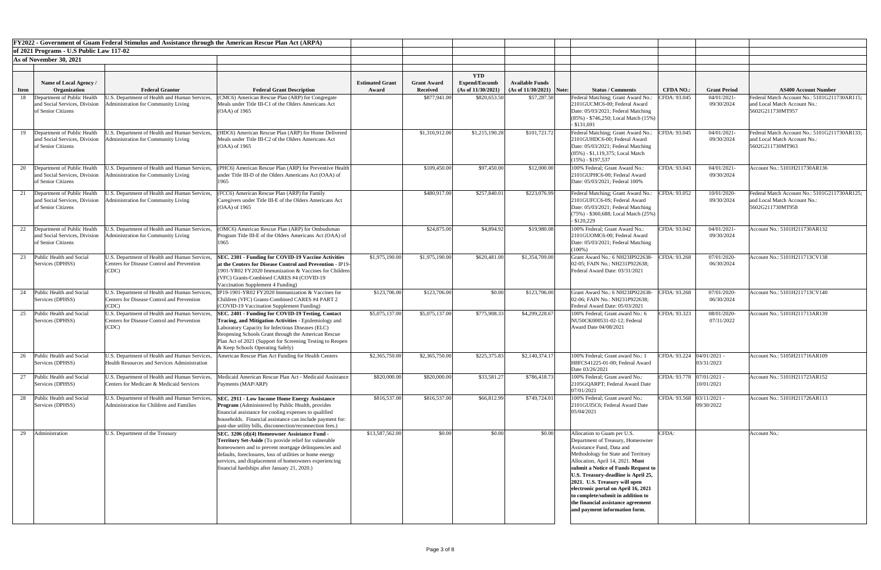|             |                                                                                    |                                                                                                             | <b>FY2022 - Government of Guam Federal Stimulus and Assistance through the American Rescue Plan Act (ARPA)</b>                                                                                                                                                                                                                            |                        |                    |                                    |                            |                                                                                                                                                                                                                                                                                                                                                                                                                                            |                             |                              |                                                                                                  |
|-------------|------------------------------------------------------------------------------------|-------------------------------------------------------------------------------------------------------------|-------------------------------------------------------------------------------------------------------------------------------------------------------------------------------------------------------------------------------------------------------------------------------------------------------------------------------------------|------------------------|--------------------|------------------------------------|----------------------------|--------------------------------------------------------------------------------------------------------------------------------------------------------------------------------------------------------------------------------------------------------------------------------------------------------------------------------------------------------------------------------------------------------------------------------------------|-----------------------------|------------------------------|--------------------------------------------------------------------------------------------------|
|             | of 2021 Programs - U.S Public Law 117-02                                           |                                                                                                             |                                                                                                                                                                                                                                                                                                                                           |                        |                    |                                    |                            |                                                                                                                                                                                                                                                                                                                                                                                                                                            |                             |                              |                                                                                                  |
|             | As of November 30, 2021                                                            |                                                                                                             |                                                                                                                                                                                                                                                                                                                                           |                        |                    |                                    |                            |                                                                                                                                                                                                                                                                                                                                                                                                                                            |                             |                              |                                                                                                  |
|             |                                                                                    |                                                                                                             |                                                                                                                                                                                                                                                                                                                                           |                        |                    |                                    |                            |                                                                                                                                                                                                                                                                                                                                                                                                                                            |                             |                              |                                                                                                  |
|             | Name of Local Agency /                                                             |                                                                                                             |                                                                                                                                                                                                                                                                                                                                           | <b>Estimated Grant</b> | <b>Grant Award</b> | <b>YTD</b><br><b>Expend/Encumb</b> | <b>Available Funds</b>     |                                                                                                                                                                                                                                                                                                                                                                                                                                            |                             |                              |                                                                                                  |
| <b>Item</b> | Organization                                                                       | <b>Federal Grantor</b>                                                                                      | <b>Federal Grant Description</b>                                                                                                                                                                                                                                                                                                          | Award                  | <b>Received</b>    | (As of 11/30/2021)                 | $(As of 11/30/2021)$ Note: | <b>Status / Comments</b>                                                                                                                                                                                                                                                                                                                                                                                                                   | <b>CFDA NO.:</b>            | <b>Grant Period</b>          | <b>AS400 Account Number</b>                                                                      |
| 18          | Department of Public Health                                                        | I.S. Department of Health and Human Services                                                                | (CMC6) American Rescue Plan (ARP) for Congregate                                                                                                                                                                                                                                                                                          |                        | \$877,941.00       | \$820,653.50                       | \$57,287.50                | Federal Matching; Grant Award No.:                                                                                                                                                                                                                                                                                                                                                                                                         | CFDA: 93.045                | 04/01/2021-                  | Federal Match Account No.: 5101G211730AR115;                                                     |
|             | and Social Services, Division<br>of Senior Citizens                                | dministration for Community Living                                                                          | Meals under Title III-C1 of the Olders Americans Act<br>$(OAA)$ of 1965                                                                                                                                                                                                                                                                   |                        |                    |                                    |                            | 2101GUCMC6-00; Federal Award<br>Date: 05/03/2021; Federal Matching<br>$(85\%)$ - \$746,250; Local Match $(15\%)$<br>$-$ \$131,691                                                                                                                                                                                                                                                                                                          |                             | 09/30/2024                   | and Local Match Account No.:<br>5602G211730MT957                                                 |
|             | Department of Public Health<br>and Social Services, Division<br>of Senior Citizens | J.S. Department of Health and Human Services,<br>dministration for Community Living                         | (HDC6) American Rescue Plan (ARP) for Home Delivered<br>Meals under Title III-C2 of the Olders Americans Act<br>(OAA) of 1965                                                                                                                                                                                                             |                        | \$1,316,912.00     | \$1,215,190.28                     | \$101,721.72               | Federal Matching; Grant Award No.:<br>2101GUHDC6-00; Federal Award<br>Date: 05/03/2021; Federal Matching<br>$(85\%)$ - \$1,119,375; Local Match<br>$(15\%) - $197,537$                                                                                                                                                                                                                                                                     | CFDA: 93.045                | 04/01/2021<br>09/30/2024     | Federal Match Account No.: 5101G211730AR133;<br>and Local Match Account No.:<br>5602G211730MT963 |
|             | Department of Public Health<br>and Social Services, Division<br>of Senior Citizens | J.S. Department of Health and Human Services,<br>dministration for Community Living                         | (PHC6) American Rescue Plan (ARP) for Preventive Health<br>under Title III-D of the Olders Americans Act (OAA) of<br>1965                                                                                                                                                                                                                 |                        | \$109,450.00       | \$97,450.00                        | \$12,000.00                | 100% Federal: Grant Award No.:<br>2101GUPHC6-00; Federal Award<br>Date: 05/03/2021; Federal 100%                                                                                                                                                                                                                                                                                                                                           | CFDA: 93.043                | 04/01/2021-<br>09/30/2024    | Account No.: 5101H211730AR136                                                                    |
| 21          | Department of Public Health<br>and Social Services, Division<br>of Senior Citizens | J.S. Department of Health and Human Services.<br>dministration for Community Living                         | (FCC6) American Rescue Plan (ARP) for Family<br>Caregivers under Title III-E of the Olders Americans Act<br>(OAA) of 1965                                                                                                                                                                                                                 |                        | \$480,917.00       | \$257,840.01                       | \$223,076.99               | Federal Matching; Grant Award No.:<br>2101GUFCC6-0S; Federal Award<br>Date: 05/03/2021; Federal Matching<br>(75%) - \$360,688; Local Match (25%)<br>$-$ \$120,229                                                                                                                                                                                                                                                                          | CFDA: 93.052                | 10/01/2020-<br>09/30/2024    | Federal Match Account No.: 5101G211730AR125;<br>and Local Match Account No.:<br>5602G211730MT958 |
| 22          | Department of Public Health<br>and Social Services, Division<br>of Senior Citizens | J.S. Department of Health and Human Services,<br>Administration for Community Living                        | (OMC6) American Rescue Plan (ARP) for Ombudsman<br>Program Title III-E of the Olders Americans Act (OAA) of<br>1965                                                                                                                                                                                                                       |                        | \$24,875.00        | \$4,894.92                         | \$19,980.08                | 100% Federal; Grant Award No.:<br>2101GUOMC6-00; Federal Award<br>Date: 05/03/2021; Federal Matching<br>$(100\%)$                                                                                                                                                                                                                                                                                                                          | CFDA: 93.042                | 04/01/2021-<br>09/30/2024    | Account No.: 5101H211730AR132                                                                    |
| 23          | Public Health and Social<br>Services (DPHSS)                                       | U.S. Department of Health and Human Services,<br>Centers for Disease Control and Prevention<br>(CDC)        | <b>SEC. 2301 - Funding for COVID-19 Vaccine Activities</b><br>at the Centers for Disease Control and Prevention - IP19-<br>1901-YR02 FY2020 Immunization & Vaccines for Children<br>(VFC) Grants-Combined CARES #4 (COVID-19<br>Vaccination Supplement 4 Funding)                                                                         | \$1,975,190.00         | \$1,975,190.00     | \$620,481.00                       | \$1,354,709.00             | Grant Award No.: 6 NH23IP922638-<br>02-05; FAIN No.: NH231P922638;<br>Federal Award Date: 03/31/2021                                                                                                                                                                                                                                                                                                                                       | CFDA: 93.268                | 07/01/2020-<br>06/30/2024    | Account No.: 5101H211713CV138                                                                    |
| 24          | Public Health and Social<br>Services (DPHSS)                                       | U.S. Department of Health and Human Services,<br>Centers for Disease Control and Prevention<br>(CDC)        | IP19-1901-YR02 FY2020 Immunization & Vaccines for<br>Children (VFC) Grants-Combined CARES #4 PART 2<br>(COVID-19 Vaccination Supplement Funding)                                                                                                                                                                                          | \$123,706.00           | \$123,706.00       | \$0.00                             | \$123,706.00               | Grant Award No.: 6 NH23IP922638-<br>02-06; FAIN No.: NH231P922638;<br>Federal Award Date: 05/03/2021                                                                                                                                                                                                                                                                                                                                       | CFDA: 93.268                | 07/01/2020-<br>06/30/2024    | Account No.: 5101H211713CV140                                                                    |
|             | Public Health and Social<br>Services (DPHSS)                                       | U.S. Department of Health and Human Services,<br><b>Centers for Disease Control and Prevention</b><br>(CDC) | <b>SEC. 2401 - Funding for COVID-19 Testing, Contact</b><br>Tracing, and Mitigation Activities - Epidemiology and<br>Laboratory Capacity for Infectious Diseases (ELC)<br>Reopening Schools Grant through the American Rescue<br>lan Act of 2021 (Support for Screening Testing to Reopen<br>& Keep Schools Operating Safely)             | \$5,075,137.00         | \$5,075,137.00     | \$775,908.33                       | \$4,299,228.67             | 100% Federal; Grant award No.: 6<br>NU50CK000531-02-12; Federal<br>Award Date 04/08/2021                                                                                                                                                                                                                                                                                                                                                   | CFDA: 93.323                | 08/01/2020-<br>07/31/2022    | Account No.: 5101H211713AR139                                                                    |
| 26          | Public Health and Social<br>Services (DPHSS)                                       | U.S. Department of Health and Human Services,<br><b>Health Resources and Services Administration</b>        | American Rescue Plan Act Funding for Health Centers                                                                                                                                                                                                                                                                                       | \$2,365,750.00         | \$2,365,750.00     | \$225,375.83                       | \$2,140,374.17             | 100% Federal; Grant award No.:<br>H8FCS41225-01-00; Federal Award<br>Date 03/26/2021                                                                                                                                                                                                                                                                                                                                                       | CFDA: 93.224                | $04/01/2021$ -<br>03/31/2023 | Account No.: 5105H211716AR109                                                                    |
|             | Public Health and Social<br>Services (DPHSS)                                       | U.S. Department of Health and Human Services,<br>Centers for Medicare & Medicaid Services                   | Medicaid American Rescue Plan Act - Medicaid Assistance<br>Payments (MAP/ARP)                                                                                                                                                                                                                                                             | \$820,000.00           | \$820,000.00       | \$33,581.27                        | \$786,418.73               | 100% Federal; Grant award No.:<br>2105GQARPT; Federal Award Date<br>07/01/2021                                                                                                                                                                                                                                                                                                                                                             | CFDA: 93.778   07/01/2021 - | 10/01/2021                   | Account No.: 5101H211723AR152                                                                    |
| 28          | Public Health and Social<br>Services (DPHSS)                                       | U.S. Department of Health and Human Services,<br>Administration for Children and Families                   | <b>SEC. 2911 - Low Income Home Energy Assistance</b><br>Program (Administered by Public Health, provides<br>inancial assistance for cooling expenses to qualified<br>households. Financial assistance can include payment for:<br>past-due utility bills, disconnection/reconnection fees.)                                               | \$816,537.00           | \$816,537.00       | \$66,812.99                        | \$749,724.01               | 100% Federal; Grant award No.:<br>2101GUI5C6; Federal Award Date<br>05/04/2021                                                                                                                                                                                                                                                                                                                                                             | CFDA: 93.568 03/11/2021 -   | 09/30/2022                   | Account No.: 5101H211726AR113                                                                    |
| 29          | Administration                                                                     | U.S. Department of the Treasury                                                                             | SEC. 3206 (d)(4) Homeowner Assistance Fund -<br><b>Territory Set-Aside</b> (To provide relief for vulnerable<br>homeowners and to prevent mortgage delinquencies and<br>defaults, foreclosures, loss of utilities or home energy<br>services, and displacement of homeowners experiencing<br>financial hardships after January 21, 2020.) | \$13,587,562.00        | \$0.00             | \$0.00                             | \$0.00                     | Allocation to Guam per U.S.<br>Department of Treasury, Homeowner<br>Assistance Fund, Data and<br>Methodology for State and Territory<br>Allocation, April 14, 2021. Must<br>submit a Notice of Funds Request to<br>U.S. Treasury-deadline is April 25,<br>2021. U.S. Treasury will open<br>electronic portal on April 16, 2021<br>to complete/submit in addition to<br>the financial assistance agreement<br>and payment information form. | CFDA:                       |                              | Account No.:                                                                                     |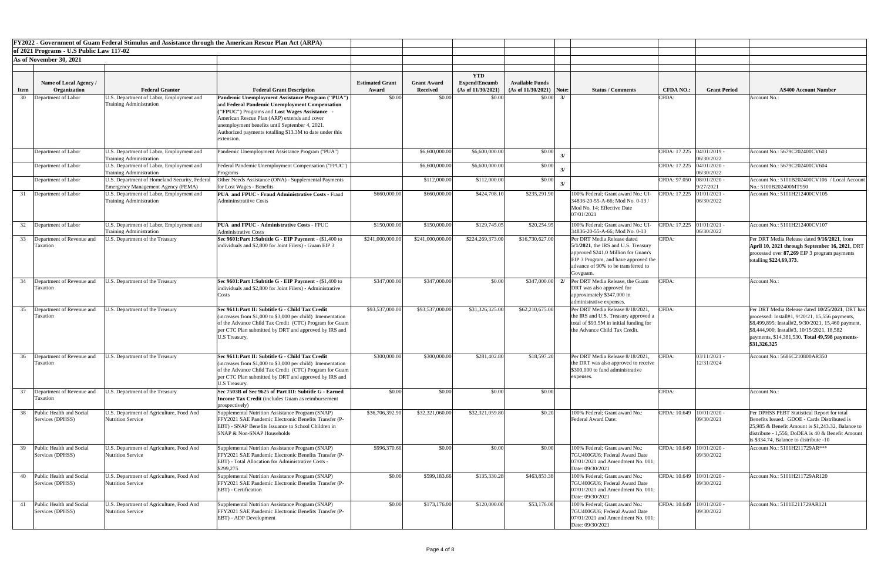|             |                                                 |                                                                                            | FY2022 - Government of Guam Federal Stimulus and Assistance through the American Rescue Plan Act (ARPA)                                                                                                                                                                                                                        |                                 |                                       |                                                          |                                                      |                          |                                                                                                                                                                                                         |                             |                              |                                                                                                                                                                                                                                                                            |
|-------------|-------------------------------------------------|--------------------------------------------------------------------------------------------|--------------------------------------------------------------------------------------------------------------------------------------------------------------------------------------------------------------------------------------------------------------------------------------------------------------------------------|---------------------------------|---------------------------------------|----------------------------------------------------------|------------------------------------------------------|--------------------------|---------------------------------------------------------------------------------------------------------------------------------------------------------------------------------------------------------|-----------------------------|------------------------------|----------------------------------------------------------------------------------------------------------------------------------------------------------------------------------------------------------------------------------------------------------------------------|
|             | of 2021 Programs - U.S Public Law 117-02        |                                                                                            |                                                                                                                                                                                                                                                                                                                                |                                 |                                       |                                                          |                                                      |                          |                                                                                                                                                                                                         |                             |                              |                                                                                                                                                                                                                                                                            |
|             | As of November 30, 2021                         |                                                                                            |                                                                                                                                                                                                                                                                                                                                |                                 |                                       |                                                          |                                                      |                          |                                                                                                                                                                                                         |                             |                              |                                                                                                                                                                                                                                                                            |
|             |                                                 |                                                                                            |                                                                                                                                                                                                                                                                                                                                |                                 |                                       |                                                          |                                                      |                          |                                                                                                                                                                                                         |                             |                              |                                                                                                                                                                                                                                                                            |
| <b>Item</b> | Name of Local Agency /<br>Organization          | <b>Federal Grantor</b>                                                                     | <b>Federal Grant Description</b>                                                                                                                                                                                                                                                                                               | <b>Estimated Grant</b><br>Award | <b>Grant Award</b><br><b>Received</b> | <b>YTD</b><br><b>Expend/Encumb</b><br>(As of 11/30/2021) | <b>Available Funds</b><br>$(As of 11/30/2021)$ Note: |                          | <b>Status / Comments</b>                                                                                                                                                                                | <b>CFDA NO.:</b>            | <b>Grant Period</b>          | <b>AS400 Account Number</b>                                                                                                                                                                                                                                                |
| 30          | Department of Labor                             | U.S. Department of Labor, Employment and<br><b>Training Administration</b>                 | Pandemic Unemployment Assistance Program ("PUA")<br>and Federal Pandemic Unemployment Compensation<br>"FPUC") Programs and Lost Wages Assistance -<br>American Rescue Plan (ARP) extends and cover<br>unemployment benefits until September 4, 2021.<br>Authorized payments totalling \$13.3M to date under this<br>extension. | \$0.00                          | \$0.00                                | \$0.00                                                   |                                                      | $$0.00$ 3/               |                                                                                                                                                                                                         | CFDA:                       |                              | Account No.:                                                                                                                                                                                                                                                               |
|             | Department of Labor                             | U.S. Department of Labor, Employment and<br><b>Training Administration</b>                 | Pandemic Unemployment Assistance Program ("PUA")                                                                                                                                                                                                                                                                               |                                 | \$6,600,000.00                        | \$6,600,000.00                                           | \$0.00                                               |                          |                                                                                                                                                                                                         | CFDA: 17.225   04/01/2019 - | 06/30/2022                   | Account No.: 5679C202400CV603                                                                                                                                                                                                                                              |
|             | Department of Labor                             | U.S. Department of Labor, Employment and<br><b>Training Administration</b>                 | Federal Pandemic Unemployment Compensation ("FPUC")<br><b>Programs</b>                                                                                                                                                                                                                                                         |                                 | \$6,600,000.00                        | \$6,600,000.00                                           | \$0.00                                               |                          |                                                                                                                                                                                                         | CFDA: 17.225 04/01/2020 -   | 06/30/2022                   | Account No.: 5679C202400CV604                                                                                                                                                                                                                                              |
|             | Department of Labor                             | J.S. Department of Homeland Security, Federal<br><b>Emergency Management Agency (FEMA)</b> | Other Needs Assistance (ONA) - Supplemental Payments<br>for Lost Wages - Benefits                                                                                                                                                                                                                                              |                                 | \$112,000.00                          | \$112,000.00                                             | \$0.00                                               | $\overline{\mathcal{X}}$ |                                                                                                                                                                                                         | CFDA: 97.050 08/01/2020 -   | 9/27/2021                    | Account No.: 5101B202400CV106 / Local Accour<br>No.: 5100B202400MT950                                                                                                                                                                                                      |
|             | 31 Department of Labor                          | U.S. Department of Labor, Employment and<br><b>Training Administration</b>                 | <b>PUA and FPUC - Fraud Administrative Costs - Fraud</b><br>Admininstratiive Costs                                                                                                                                                                                                                                             | \$660,000.00                    | \$660,000.00                          | \$424,708.10                                             | \$235,291.90                                         |                          | 100% Federal; Grant award No.: UI<br>34836-20-55-A-66; Mod No. 0-13/<br>Mod No. 14; Effective Date<br>07/01/2021                                                                                        | CFDA: 17.225 01/01/2021 -   | 06/30/2022                   | Account No.: 5101H212400CV105                                                                                                                                                                                                                                              |
|             | 32 Department of Labor                          | J.S. Department of Labor, Employment and<br><b>Training Administration</b>                 | PUA and FPUC - Administrative Costs - FPUC<br><b>Administrative Costs</b>                                                                                                                                                                                                                                                      | \$150,000.00                    | \$150,000.00                          | \$129,745.05                                             | \$20,254.95                                          |                          | 100% Federal; Grant award No.: UI<br>34836-20-55-A-66; Mod No. 0-13                                                                                                                                     | CFDA: 17.225 01/01/2021 -   | 06/30/2022                   | Account No.: 5101H212400CV107                                                                                                                                                                                                                                              |
|             | 33 Department of Revenue and<br>Taxation        | U.S. Department of the Treasury                                                            | Sec 9601: Part I: Subtitle G - EIP Payment - (\$1,400 to<br>individuals and \$2,800 for Joint Filers) - Guam EIP 3                                                                                                                                                                                                             | \$241,000,000.00]               | \$241,000,000.00                      | \$224,269,373.00                                         | \$16,730,627.00                                      |                          | Per DRT Media Release dated<br>$5/1/2021$ , the IRS and U.S. Treasury<br>approved \$241.0 Million for Guam's<br>EIP 3 Program, and have approved the<br>advance of 90% to be transferred to<br>Govguam. | CFDA:                       |                              | Per DRT Media Release dated 9/16/2021, from<br>April 10, 2021 through September 16, 2021, DRT<br>processed over 87,269 EIP 3 program payments<br>totalling \$224,69,373.                                                                                                   |
|             | 34 Department of Revenue and<br>Taxation        | J.S. Department of the Treasury                                                            | Sec 9601: Part I: Subtitle G - EIP Payment - (\$1,400 to<br>individuals and \$2,800 for Joint Filers) - Administrative<br>Costs                                                                                                                                                                                                | \$347,000.00                    | \$347,000.00                          | \$0.00                                                   |                                                      |                          | \$347,000.00 2/ Per DRT Media Release, the Guam<br>DRT was also approved for<br>approximately \$347,000 in<br>administrative expenses.                                                                  | CFDA:                       |                              | Account No.:                                                                                                                                                                                                                                                               |
|             | 35 Department of Revenue and<br>Taxation        | J.S. Department of the Treasury                                                            | Sec 9611: Part II: Subtitle G - Child Tax Credit<br>(increases from \$1,000 to \$3,000 per child) Imementation<br>of the Advance Child Tax Credit (CTC) Program for Guam<br>per CTC Plan submitted by DRT and approved by IRS and<br>U.S Treasury.                                                                             | \$93,537,000.00                 | \$93,537,000.00                       | \$31,326,325.00                                          | \$62,210,675.00                                      |                          | Per DRT Media Release 8/18/2021.<br>the IRS and U.S. Treasury approved a<br>total of \$93.5M in initial funding for<br>the Advance Child Tax Credit.                                                    | CFDA:                       |                              | Per DRT Media Release dated 10/25/2021, DRT ha<br>processed: Install#1, $9/20/21$ , 15,556 payments,<br>\$8,499,895; Install#2, 9/30/2021, 15,460 payment<br>\\$8,444,900; Install#3, 10/15/2021, 18,582<br>payments, \$14,381,530. Total 49,598 payments-<br>\$31,326,325 |
|             | 36 Department of Revenue and<br>l'axation       | J.S. Department of the Treasury                                                            | Sec 9611: Part II: Subtitle G - Child Tax Credit<br>increases from \$1,000 to \$3,000 per child) Imementation<br>of the Advance Child Tax Credit (CTC) Program for Guam<br>per CTC Plan submitted by DRT and approved by IRS and<br><b>U.S Treasury</b>                                                                        | \$300,000.00                    | \$300,000.00                          | \$281,402.80                                             | \$18,597.20                                          |                          | Per DRT Media Release 8/18/2021.<br>the DRT was also approved to receive<br>\$300,000 to fund administrative<br>expenses.                                                                               | CFDA:                       | $03/11/2021$ -<br>12/31/2024 | Account No.: 5686C210800AR350                                                                                                                                                                                                                                              |
|             | 37 Department of Revenue and<br>Taxation        | J.S. Department of the Treasury                                                            | Sec 7503B of Sec 9625 of Part III: Subtitle G - Earned<br><b>Income Tax Credit</b> (includes Guam as reimbursement<br>prospectively)                                                                                                                                                                                           | \$0.00                          | \$0.00                                | \$0.00                                                   | \$0.00                                               |                          |                                                                                                                                                                                                         | CFDA:                       |                              | Account No.:                                                                                                                                                                                                                                                               |
|             | 38 Public Health and Social<br>Services (DPHSS) | U.S. Department of Agriculture, Food And<br><b>Nutrition Service</b>                       | Supplemental Nutrition Assistance Program (SNAP)<br>FFY2021 SAE Pandemic Electronic Benefits Transfer (P-<br>EBT) - SNAP Benefits Issuance to School Children in<br>SNAP & Non-SNAP Households                                                                                                                                 | \$36,706,392.90                 | \$32,321,060.00                       | \$32,321,059.80                                          | \$0.20                                               |                          | 100% Federal; Grant award No.:<br>Federal Award Date:                                                                                                                                                   | CFDA: 10.649 10/01/2020 -   | 09/30/2021                   | Per DPHSS PEBT Statistical Report for total<br>Benefits Issued. GDOE - Cards Distributed is<br>25,985 & Benefit Amount is $$1,243.32$ , Balance to<br>distribute - 1,556; DoDEA is 40 & Benefit Amount<br>is \$334.74, Balance to distribute -10                           |
|             | Public Health and Social<br>Services (DPHSS)    | U.S. Department of Agriculture, Food And<br><b>Nutrition Service</b>                       | Supplemental Nutrition Assistance Program (SNAP)<br>FFY2021 SAE Pandemic Electronic Benefits Transfer (P-<br>EBT) - Total Allocation for Administrative Costs -<br>\$299,275                                                                                                                                                   | \$996,370.66                    | \$0.00                                | \$0.00                                                   | \$0.00                                               |                          | 100% Federal; Grant award No.:<br>7GU400GU6; Federal Award Date<br>07/01/2021 and Amendment No. 001;<br>Date: 09/30/2021                                                                                | CFDA: 10.649   10/01/2020 - | 09/30/2022                   | Account No.: 5101H211729AR***                                                                                                                                                                                                                                              |
|             | 40 Public Health and Social<br>Services (DPHSS) | J.S. Department of Agriculture, Food And<br><b>Nutrition Service</b>                       | Supplemental Nutrition Assistance Program (SNAP)<br>FFY2021 SAE Pandemic Electronic Benefits Transfer (P-<br><b>EBT</b> ) - Certification                                                                                                                                                                                      | \$0.00                          | \$599,183.66                          | \$135,330.28                                             | \$463,853.38                                         |                          | 100% Federal; Grant award No.:<br>7GU400GU6; Federal Award Date<br>[07/01/2021 and Amendment No. 001;<br>Date: 09/30/2021                                                                               | CFDA: 10.649   10/01/2020 - | 09/30/2022                   | Account No.: 5101H211729AR120                                                                                                                                                                                                                                              |
| 41          | Public Health and Social<br>Services (DPHSS)    | U.S. Department of Agriculture, Food And<br><b>Nutrition Service</b>                       | Supplemental Nutrition Assistance Program (SNAP)<br>FFY2021 SAE Pandemic Electronic Benefits Transfer (P-<br>EBT) - ADP Development                                                                                                                                                                                            | \$0.00                          | \$173,176.00                          | \$120,000.00                                             | \$53,176.00                                          |                          | 100% Federal; Grant award No.:<br>7GU400GU6; Federal Award Date<br>07/01/2021 and Amendment No. 001;<br>Date: 09/30/2021                                                                                | CFDA: 10.649   10/01/2020 - | 09/30/2022                   | Account No.: 5101E211729AR121                                                                                                                                                                                                                                              |

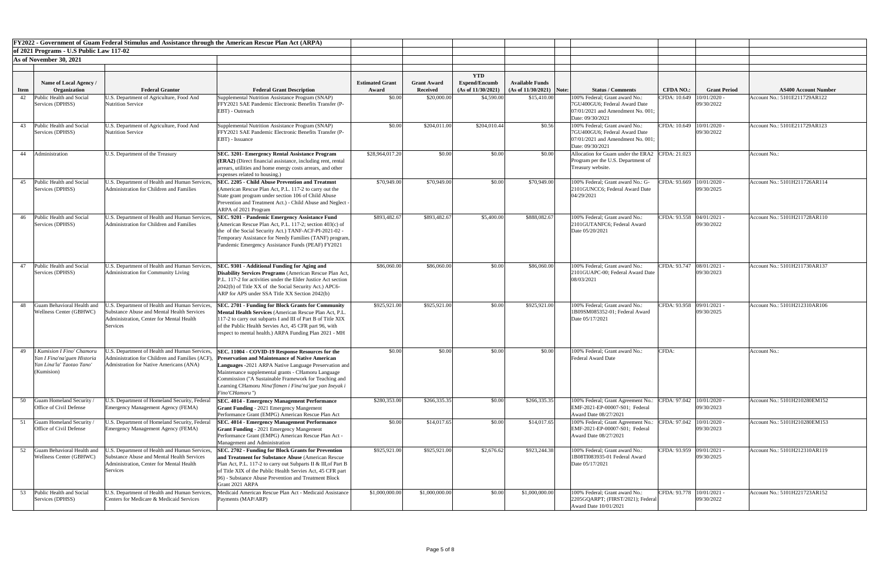| of 2021 Programs - U.S Public Law 117-02<br>As of November 30, 2021<br><b>YTD</b><br><b>Available Funds</b><br>Name of Local Agency /<br><b>Estimated Grant</b><br><b>Grant Award</b><br><b>Expend/Encumb</b><br>(As of 11/30/2021)<br>$(As of 11/30/2021)$ Note:<br><b>Grant Period</b><br>Organization<br><b>Federal Grantor</b><br><b>Received</b><br><b>Status / Comments</b><br><b>CFDA NO.:</b><br><b>AS400 Account Number</b><br><b>Federal Grant Description</b><br>Award<br><b>Item</b><br>\$4,590.00<br>Public Health and Social<br>Supplemental Nutrition Assistance Program (SNAP)<br>\$20,000.00<br>\$15,410.00<br>CFDA: 10.649<br>10/01/2020<br>U.S. Department of Agriculture, Food And<br>\$0.00<br>100% Federal; Grant award No.:<br>Account No.: 5101E211729AR122<br>42<br>09/30/2022<br>FFY2021 SAE Pandemic Electronic Benefits Transfer (P-<br>Services (DPHSS)<br>Nutrition Service<br>7GU400GU6; Federal Award Date<br>EBT) - Outreach<br>$[07/01/2021$ and Amendment No. 001:<br>Date: 09/30/2021<br>CFDA: 10.649   10/01/2020<br>Public Health and Social<br>Supplemental Nutrition Assistance Program (SNAP)<br>\$0.00<br>\$204,011.00<br>\$204,010.44<br>\$0.56<br>100% Federal; Grant award No.:<br>Account No.: 5101E211729AR123<br>U.S. Department of Agriculture, Food And<br>43<br>FFY2021 SAE Pandemic Electronic Benefits Transfer (P-<br>09/30/2022<br>Nutrition Service<br>Services (DPHSS)<br>7GU400GU6; Federal Award Date<br>07/01/2021 and Amendment No. 001;<br>EBT) - Issuance<br>Date: 09/30/2021<br>44 Administration<br>\$28,964,017.20<br>\$0.00<br>Allocation for Guam under the ERA2 CFDA: 21.023<br>U.S. Department of the Treasury<br>\$0.00<br>\$0.00<br><b>SEC. 3201- Emergency Rental Assistance Program</b><br>Account No.:<br>(ERA2) (Direct financial assistance, including rent, rental<br>Program per the U.S. Department of<br>arrears, utilities and home energy costs arrears, and other<br>Treasury website.<br>expenses related to housing.)<br>Public Health and Social<br>U.S. Department of Health and Human Services,<br>\$70,949.00<br>CFDA: 93.669   10/01/2020 -<br><b>SEC. 2205 - Child Abuse Prevention and Treatmnt</b><br>\$70,949.00<br>\$70,949.00<br>\$0.00<br>100% Federal; Grant award No.: G-<br>Account No.: 5101H211726AR114<br>45<br>Administration for Children and Families<br>09/30/2025<br>Services (DPHSS)<br>(American Rescue Plan Act, P.L. 117-2 to carry out the<br>2101GUNCC6; Federal Award Date<br>04/29/2021<br>State grant program under section 106 of Child Abuse<br>Prevention and Treatment Act.) - Child Abuse and Neglect -<br>ARPA of 2021 Program<br>CFDA: 93.558 04/01/2021 -<br>Public Health and Social<br>U.S. Department of Health and Human Services,<br>\$893,482.67<br>\$893,482.67<br>\$5,400.00<br>\$888,082.67<br>100% Federal; Grant award No.:<br>Account No.: 5101H211728AR110<br><b>SEC. 9201 - Pandemic Emergency Assistance Fund</b><br>46<br>Administration for Children and Families<br>(American Rescue Plan Act, P.L. 117-2; section $403(c)$ of<br>09/30/2022<br>Services (DPHSS)<br>2101GUTANFC6; Federal Award<br>the of the Social Security Act.) TANF-ACF-PI-2021-02 -<br>Date 05/20/2021<br>Temporary Assistance for Needy Families (TANF) program,<br>Pandemic Emergency Assistance Funds (PEAF) FY2021<br>Public Health and Social<br>U.S. Department of Health and Human Services,<br>\$86,060.00<br>\$86,060.00<br>\$0.00<br>100% Federal; Grant award No.:<br>CFDA: 93.747 08/01/2021<br>SEC. 9301 - Additional Funding for Aging and<br>\$86,060.00<br>Account No.: 5101H211730AR137<br>47<br>Administration for Community Living<br>09/30/2023<br>Services (DPHSS)<br><b>Disability Services Programs</b> (American Rescue Plan Act,<br>2101GUAPC-00; Federal Award Date<br>08/03/2021<br>P.L. 117-2 for activities under the Elder Justice Act section<br>2042(b) of Title XX of the Social Security Act.) APC6-<br>ARP for APS under SSA Title XX Section 2042(b)<br>Guam Behavioral Health and<br>\$925,921.00<br>\$925,921.00<br>CFDA: 93.958 09/01/2021 -<br>J.S. Department of Health and Human Services,<br>\$925,921.00<br>\$0.00<br>100% Federal; Grant award No.:<br>Account No.: 5101H212310AR106<br><b>SEC. 2701 - Funding for Block Grants for Community</b><br>48<br>09/30/2025<br><b>Wellness Center (GBHWC)</b><br><b>Substance Abuse and Mental Health Services</b><br>1B09SM085352-01; Federal Award<br>Mental Health Services (American Rescue Plan Act, P.L.<br>Administration, Center for Mental Health<br>Date 05/17/2021<br>117-2 to carry out subparts I and III of Part B of Title XIX<br>of the Public Health Servies Act, 45 CFR part 96, with<br>Services<br>respect to mental health.) ARPA Funding Plan 2021 - MH<br>I Kumision I Fino' Chamoru<br>U.S. Department of Health and Human Services,<br>\$0.00<br>\$0.00<br>100% Federal; Grant award No.:<br>CFDA:<br>SEC. 11004 - COVID-19 Response Resources for the<br>\$0.00<br>\$0.00<br><b>Account No.:</b><br>49<br><b>Preservation and Maintenance of Native American</b><br>Administration for Children and Families (ACF)<br>Yan I Fina'na'guen Historia<br>Federal Award Date<br>Yan Lina'la' Taotao Tano<br>Admistration for Native Americans (ANA)<br>Languages -2021 ARPA Native Language Preservation and<br>(Kumision)<br>Maintenance supplemental grants - CHamoru Language<br>Commission ("A Sustainable Framework for Teaching and<br>Learning CHamoru Nina'fitmen i Fina'na'gue yan Ineyak i<br>Fino'CHamoru")<br>10/01/2020<br>Guam Homeland Security<br>\$280,353.00<br>\$266,335.35<br>\$0.00<br>J.S. Department of Homeland Security, Federal<br>\$266,335.35<br>100% Federal; Grant Agreement No.:<br>CFDA: 97.042<br>Account No.: 5101H210280EM152<br>SEC. 4014 - Emergency Management Performance<br>09/30/2023<br><b>Grant Funding - 2021 Emergency Mangement</b><br>EMF-2021-EP-00007-S01; Federal<br>Office of Civil Defense<br><b>Emergency Management Agency (FEMA)</b><br>Award Date 08/27/2021<br>Performance Grant (EMPG) American Rescue Plan Act<br>CFDA: 97.042<br>10/01/2020<br>Guam Homeland Security<br>\$0.00<br>\$14,017.65<br>\$0.00<br>Account No.: 5101H210280EM153<br>U.S. Department of Homeland Security, Federal<br>\$14,017.65<br><b>SEC. 4014 - Emergency Management Performance</b><br>100% Federal; Grant Agreement No.:<br>09/30/2023<br>EMF-2021-EP-00007-S01; Federal<br>Office of Civil Defense<br>Emergency Management Agency (FEMA)<br><b>Grant Funding - 2021 Emergency Mangement</b><br>Award Date 08/27/2021<br>Performance Grant (EMPG) American Rescue Plan Act -<br>Management and Administration<br>Guam Behavioral Health and<br>\$925,921.00<br>\$2,676.62<br>100% Federal; Grant award No.:<br>U.S. Department of Health and Human Services,<br><b>SEC. 2702 - Funding for Block Grants for Prevention</b><br>\$925,921.00<br>\$923,244.38<br>CFDA: 93.959 09/01/2021 -<br>Account No.: 5101H212310AR119<br>52<br>Wellness Center (GBHWC)<br>09/30/2025<br>Substance Abuse and Mental Health Services<br>and Treatment for Substance Abuse (American Rescue)<br>1B08TI083935-01 Federal Award<br>Administration, Center for Mental Health<br>Date 05/17/2021<br>Plan Act, P.L. 117-2 to carry out Subparts II & III, of Part B<br>of Title XIX of the Public Health Servies Act, 45 CFR part<br>Services<br>[96] - Substance Abuse Prevention and Treatment Block<br>Grant 2021 ARPA<br>53 Public Health and Social<br>\$1,000,000.00<br>\$1,000,000.00<br>\$0.00<br>\$1,000,000.00<br>CFDA: 93.778   10/01/2021 -<br>Account No.: 5101H221723AR152<br>U.S. Department of Health and Human Services.<br>Medicaid American Rescue Plan Act - Medicaid Assistance<br>100% Federal; Grant award No.:<br>09/30/2022<br>Centers for Medicare & Medicaid Services<br>Services (DPHSS)<br>Payments (MAP/ARP)<br>2205GQARPT; (FIRST/2021); Federal<br>Award Date 10/01/2021 | FY2022 - Government of Guam Federal Stimulus and Assistance through the American Rescue Plan Act (ARPA) |  |  |  |  |  |  |  |  |
|-----------------------------------------------------------------------------------------------------------------------------------------------------------------------------------------------------------------------------------------------------------------------------------------------------------------------------------------------------------------------------------------------------------------------------------------------------------------------------------------------------------------------------------------------------------------------------------------------------------------------------------------------------------------------------------------------------------------------------------------------------------------------------------------------------------------------------------------------------------------------------------------------------------------------------------------------------------------------------------------------------------------------------------------------------------------------------------------------------------------------------------------------------------------------------------------------------------------------------------------------------------------------------------------------------------------------------------------------------------------------------------------------------------------------------------------------------------------------------------------------------------------------------------------------------------------------------------------------------------------------------------------------------------------------------------------------------------------------------------------------------------------------------------------------------------------------------------------------------------------------------------------------------------------------------------------------------------------------------------------------------------------------------------------------------------------------------------------------------------------------------------------------------------------------------------------------------------------------------------------------------------------------------------------------------------------------------------------------------------------------------------------------------------------------------------------------------------------------------------------------------------------------------------------------------------------------------------------------------------------------------------------------------------------------------------------------------------------------------------------------------------------------------------------------------------------------------------------------------------------------------------------------------------------------------------------------------------------------------------------------------------------------------------------------------------------------------------------------------------------------------------------------------------------------------------------------------------------------------------------------------------------------------------------------------------------------------------------------------------------------------------------------------------------------------------------------------------------------------------------------------------------------------------------------------------------------------------------------------------------------------------------------------------------------------------------------------------------------------------------------------------------------------------------------------------------------------------------------------------------------------------------------------------------------------------------------------------------------------------------------------------------------------------------------------------------------------------------------------------------------------------------------------------------------------------------------------------------------------------------------------------------------------------------------------------------------------------------------------------------------------------------------------------------------------------------------------------------------------------------------------------------------------------------------------------------------------------------------------------------------------------------------------------------------------------------------------------------------------------------------------------------------------------------------------------------------------------------------------------------------------------------------------------------------------------------------------------------------------------------------------------------------------------------------------------------------------------------------------------------------------------------------------------------------------------------------------------------------------------------------------------------------------------------------------------------------------------------------------------------------------------------------------------------------------------------------------------------------------------------------------------------------------------------------------------------------------------------------------------------------------------------------------------------------------------------------------------------------------------------------------------------------------------------------------------------------------------------------------------------------------------------------------------------------------------------------------------------------------------------------------------------------------------------------------------------------------------------------------------------------------------------------------------------------------------------------------------------------------------------------------------------------------------------------------------------------------------------------------------------------------------------------------------------------------------------------------------------------------------------------------------------------------------------------------------------------------------------------------------------------------------------------------------------------------------------------------------------------------------------------------------------------------------------------------------------------------------------------------------------------------------------------------------------------------------------------------------------------------------------------------------------------------------------------------------------------------------------------------------------------------------------------------------------------------------------------------------------------------------------------------------------------------------------------------------------------------------------------------------------------------------------------------------------------------------------------------------------------------------------------------------------------------------------------------------------------------------------------------------------------------------------------------------------------------------------------------------------------------------------------------------------------------------------------------------------------------------------------------------------------------------------------------------------------------------------------------------------|---------------------------------------------------------------------------------------------------------|--|--|--|--|--|--|--|--|
|                                                                                                                                                                                                                                                                                                                                                                                                                                                                                                                                                                                                                                                                                                                                                                                                                                                                                                                                                                                                                                                                                                                                                                                                                                                                                                                                                                                                                                                                                                                                                                                                                                                                                                                                                                                                                                                                                                                                                                                                                                                                                                                                                                                                                                                                                                                                                                                                                                                                                                                                                                                                                                                                                                                                                                                                                                                                                                                                                                                                                                                                                                                                                                                                                                                                                                                                                                                                                                                                                                                                                                                                                                                                                                                                                                                                                                                                                                                                                                                                                                                                                                                                                                                                                                                                                                                                                                                                                                                                                                                                                                                                                                                                                                                                                                                                                                                                                                                                                                                                                                                                                                                                                                                                                                                                                                                                                                                                                                                                                                                                                                                                                                                                                                                                                                                                                                                                                                                                                                                                                                                                                                                                                                                                                                                                                                                                                                                                                                                                                                                                                                                                                                                                                                                                                                                                                                                                                                                                                                                                                                                                                                                                                                                                                                                                                                                                                                                                                                                                                                                                                                                                                                                                                                                                                                                                                                                                                                                                                                 |                                                                                                         |  |  |  |  |  |  |  |  |
|                                                                                                                                                                                                                                                                                                                                                                                                                                                                                                                                                                                                                                                                                                                                                                                                                                                                                                                                                                                                                                                                                                                                                                                                                                                                                                                                                                                                                                                                                                                                                                                                                                                                                                                                                                                                                                                                                                                                                                                                                                                                                                                                                                                                                                                                                                                                                                                                                                                                                                                                                                                                                                                                                                                                                                                                                                                                                                                                                                                                                                                                                                                                                                                                                                                                                                                                                                                                                                                                                                                                                                                                                                                                                                                                                                                                                                                                                                                                                                                                                                                                                                                                                                                                                                                                                                                                                                                                                                                                                                                                                                                                                                                                                                                                                                                                                                                                                                                                                                                                                                                                                                                                                                                                                                                                                                                                                                                                                                                                                                                                                                                                                                                                                                                                                                                                                                                                                                                                                                                                                                                                                                                                                                                                                                                                                                                                                                                                                                                                                                                                                                                                                                                                                                                                                                                                                                                                                                                                                                                                                                                                                                                                                                                                                                                                                                                                                                                                                                                                                                                                                                                                                                                                                                                                                                                                                                                                                                                                                                 |                                                                                                         |  |  |  |  |  |  |  |  |
|                                                                                                                                                                                                                                                                                                                                                                                                                                                                                                                                                                                                                                                                                                                                                                                                                                                                                                                                                                                                                                                                                                                                                                                                                                                                                                                                                                                                                                                                                                                                                                                                                                                                                                                                                                                                                                                                                                                                                                                                                                                                                                                                                                                                                                                                                                                                                                                                                                                                                                                                                                                                                                                                                                                                                                                                                                                                                                                                                                                                                                                                                                                                                                                                                                                                                                                                                                                                                                                                                                                                                                                                                                                                                                                                                                                                                                                                                                                                                                                                                                                                                                                                                                                                                                                                                                                                                                                                                                                                                                                                                                                                                                                                                                                                                                                                                                                                                                                                                                                                                                                                                                                                                                                                                                                                                                                                                                                                                                                                                                                                                                                                                                                                                                                                                                                                                                                                                                                                                                                                                                                                                                                                                                                                                                                                                                                                                                                                                                                                                                                                                                                                                                                                                                                                                                                                                                                                                                                                                                                                                                                                                                                                                                                                                                                                                                                                                                                                                                                                                                                                                                                                                                                                                                                                                                                                                                                                                                                                                                 |                                                                                                         |  |  |  |  |  |  |  |  |
|                                                                                                                                                                                                                                                                                                                                                                                                                                                                                                                                                                                                                                                                                                                                                                                                                                                                                                                                                                                                                                                                                                                                                                                                                                                                                                                                                                                                                                                                                                                                                                                                                                                                                                                                                                                                                                                                                                                                                                                                                                                                                                                                                                                                                                                                                                                                                                                                                                                                                                                                                                                                                                                                                                                                                                                                                                                                                                                                                                                                                                                                                                                                                                                                                                                                                                                                                                                                                                                                                                                                                                                                                                                                                                                                                                                                                                                                                                                                                                                                                                                                                                                                                                                                                                                                                                                                                                                                                                                                                                                                                                                                                                                                                                                                                                                                                                                                                                                                                                                                                                                                                                                                                                                                                                                                                                                                                                                                                                                                                                                                                                                                                                                                                                                                                                                                                                                                                                                                                                                                                                                                                                                                                                                                                                                                                                                                                                                                                                                                                                                                                                                                                                                                                                                                                                                                                                                                                                                                                                                                                                                                                                                                                                                                                                                                                                                                                                                                                                                                                                                                                                                                                                                                                                                                                                                                                                                                                                                                                                 |                                                                                                         |  |  |  |  |  |  |  |  |
|                                                                                                                                                                                                                                                                                                                                                                                                                                                                                                                                                                                                                                                                                                                                                                                                                                                                                                                                                                                                                                                                                                                                                                                                                                                                                                                                                                                                                                                                                                                                                                                                                                                                                                                                                                                                                                                                                                                                                                                                                                                                                                                                                                                                                                                                                                                                                                                                                                                                                                                                                                                                                                                                                                                                                                                                                                                                                                                                                                                                                                                                                                                                                                                                                                                                                                                                                                                                                                                                                                                                                                                                                                                                                                                                                                                                                                                                                                                                                                                                                                                                                                                                                                                                                                                                                                                                                                                                                                                                                                                                                                                                                                                                                                                                                                                                                                                                                                                                                                                                                                                                                                                                                                                                                                                                                                                                                                                                                                                                                                                                                                                                                                                                                                                                                                                                                                                                                                                                                                                                                                                                                                                                                                                                                                                                                                                                                                                                                                                                                                                                                                                                                                                                                                                                                                                                                                                                                                                                                                                                                                                                                                                                                                                                                                                                                                                                                                                                                                                                                                                                                                                                                                                                                                                                                                                                                                                                                                                                                                 |                                                                                                         |  |  |  |  |  |  |  |  |
|                                                                                                                                                                                                                                                                                                                                                                                                                                                                                                                                                                                                                                                                                                                                                                                                                                                                                                                                                                                                                                                                                                                                                                                                                                                                                                                                                                                                                                                                                                                                                                                                                                                                                                                                                                                                                                                                                                                                                                                                                                                                                                                                                                                                                                                                                                                                                                                                                                                                                                                                                                                                                                                                                                                                                                                                                                                                                                                                                                                                                                                                                                                                                                                                                                                                                                                                                                                                                                                                                                                                                                                                                                                                                                                                                                                                                                                                                                                                                                                                                                                                                                                                                                                                                                                                                                                                                                                                                                                                                                                                                                                                                                                                                                                                                                                                                                                                                                                                                                                                                                                                                                                                                                                                                                                                                                                                                                                                                                                                                                                                                                                                                                                                                                                                                                                                                                                                                                                                                                                                                                                                                                                                                                                                                                                                                                                                                                                                                                                                                                                                                                                                                                                                                                                                                                                                                                                                                                                                                                                                                                                                                                                                                                                                                                                                                                                                                                                                                                                                                                                                                                                                                                                                                                                                                                                                                                                                                                                                                                 |                                                                                                         |  |  |  |  |  |  |  |  |
|                                                                                                                                                                                                                                                                                                                                                                                                                                                                                                                                                                                                                                                                                                                                                                                                                                                                                                                                                                                                                                                                                                                                                                                                                                                                                                                                                                                                                                                                                                                                                                                                                                                                                                                                                                                                                                                                                                                                                                                                                                                                                                                                                                                                                                                                                                                                                                                                                                                                                                                                                                                                                                                                                                                                                                                                                                                                                                                                                                                                                                                                                                                                                                                                                                                                                                                                                                                                                                                                                                                                                                                                                                                                                                                                                                                                                                                                                                                                                                                                                                                                                                                                                                                                                                                                                                                                                                                                                                                                                                                                                                                                                                                                                                                                                                                                                                                                                                                                                                                                                                                                                                                                                                                                                                                                                                                                                                                                                                                                                                                                                                                                                                                                                                                                                                                                                                                                                                                                                                                                                                                                                                                                                                                                                                                                                                                                                                                                                                                                                                                                                                                                                                                                                                                                                                                                                                                                                                                                                                                                                                                                                                                                                                                                                                                                                                                                                                                                                                                                                                                                                                                                                                                                                                                                                                                                                                                                                                                                                                 |                                                                                                         |  |  |  |  |  |  |  |  |
|                                                                                                                                                                                                                                                                                                                                                                                                                                                                                                                                                                                                                                                                                                                                                                                                                                                                                                                                                                                                                                                                                                                                                                                                                                                                                                                                                                                                                                                                                                                                                                                                                                                                                                                                                                                                                                                                                                                                                                                                                                                                                                                                                                                                                                                                                                                                                                                                                                                                                                                                                                                                                                                                                                                                                                                                                                                                                                                                                                                                                                                                                                                                                                                                                                                                                                                                                                                                                                                                                                                                                                                                                                                                                                                                                                                                                                                                                                                                                                                                                                                                                                                                                                                                                                                                                                                                                                                                                                                                                                                                                                                                                                                                                                                                                                                                                                                                                                                                                                                                                                                                                                                                                                                                                                                                                                                                                                                                                                                                                                                                                                                                                                                                                                                                                                                                                                                                                                                                                                                                                                                                                                                                                                                                                                                                                                                                                                                                                                                                                                                                                                                                                                                                                                                                                                                                                                                                                                                                                                                                                                                                                                                                                                                                                                                                                                                                                                                                                                                                                                                                                                                                                                                                                                                                                                                                                                                                                                                                                                 |                                                                                                         |  |  |  |  |  |  |  |  |
|                                                                                                                                                                                                                                                                                                                                                                                                                                                                                                                                                                                                                                                                                                                                                                                                                                                                                                                                                                                                                                                                                                                                                                                                                                                                                                                                                                                                                                                                                                                                                                                                                                                                                                                                                                                                                                                                                                                                                                                                                                                                                                                                                                                                                                                                                                                                                                                                                                                                                                                                                                                                                                                                                                                                                                                                                                                                                                                                                                                                                                                                                                                                                                                                                                                                                                                                                                                                                                                                                                                                                                                                                                                                                                                                                                                                                                                                                                                                                                                                                                                                                                                                                                                                                                                                                                                                                                                                                                                                                                                                                                                                                                                                                                                                                                                                                                                                                                                                                                                                                                                                                                                                                                                                                                                                                                                                                                                                                                                                                                                                                                                                                                                                                                                                                                                                                                                                                                                                                                                                                                                                                                                                                                                                                                                                                                                                                                                                                                                                                                                                                                                                                                                                                                                                                                                                                                                                                                                                                                                                                                                                                                                                                                                                                                                                                                                                                                                                                                                                                                                                                                                                                                                                                                                                                                                                                                                                                                                                                                 |                                                                                                         |  |  |  |  |  |  |  |  |
|                                                                                                                                                                                                                                                                                                                                                                                                                                                                                                                                                                                                                                                                                                                                                                                                                                                                                                                                                                                                                                                                                                                                                                                                                                                                                                                                                                                                                                                                                                                                                                                                                                                                                                                                                                                                                                                                                                                                                                                                                                                                                                                                                                                                                                                                                                                                                                                                                                                                                                                                                                                                                                                                                                                                                                                                                                                                                                                                                                                                                                                                                                                                                                                                                                                                                                                                                                                                                                                                                                                                                                                                                                                                                                                                                                                                                                                                                                                                                                                                                                                                                                                                                                                                                                                                                                                                                                                                                                                                                                                                                                                                                                                                                                                                                                                                                                                                                                                                                                                                                                                                                                                                                                                                                                                                                                                                                                                                                                                                                                                                                                                                                                                                                                                                                                                                                                                                                                                                                                                                                                                                                                                                                                                                                                                                                                                                                                                                                                                                                                                                                                                                                                                                                                                                                                                                                                                                                                                                                                                                                                                                                                                                                                                                                                                                                                                                                                                                                                                                                                                                                                                                                                                                                                                                                                                                                                                                                                                                                                 |                                                                                                         |  |  |  |  |  |  |  |  |
|                                                                                                                                                                                                                                                                                                                                                                                                                                                                                                                                                                                                                                                                                                                                                                                                                                                                                                                                                                                                                                                                                                                                                                                                                                                                                                                                                                                                                                                                                                                                                                                                                                                                                                                                                                                                                                                                                                                                                                                                                                                                                                                                                                                                                                                                                                                                                                                                                                                                                                                                                                                                                                                                                                                                                                                                                                                                                                                                                                                                                                                                                                                                                                                                                                                                                                                                                                                                                                                                                                                                                                                                                                                                                                                                                                                                                                                                                                                                                                                                                                                                                                                                                                                                                                                                                                                                                                                                                                                                                                                                                                                                                                                                                                                                                                                                                                                                                                                                                                                                                                                                                                                                                                                                                                                                                                                                                                                                                                                                                                                                                                                                                                                                                                                                                                                                                                                                                                                                                                                                                                                                                                                                                                                                                                                                                                                                                                                                                                                                                                                                                                                                                                                                                                                                                                                                                                                                                                                                                                                                                                                                                                                                                                                                                                                                                                                                                                                                                                                                                                                                                                                                                                                                                                                                                                                                                                                                                                                                                                 |                                                                                                         |  |  |  |  |  |  |  |  |
|                                                                                                                                                                                                                                                                                                                                                                                                                                                                                                                                                                                                                                                                                                                                                                                                                                                                                                                                                                                                                                                                                                                                                                                                                                                                                                                                                                                                                                                                                                                                                                                                                                                                                                                                                                                                                                                                                                                                                                                                                                                                                                                                                                                                                                                                                                                                                                                                                                                                                                                                                                                                                                                                                                                                                                                                                                                                                                                                                                                                                                                                                                                                                                                                                                                                                                                                                                                                                                                                                                                                                                                                                                                                                                                                                                                                                                                                                                                                                                                                                                                                                                                                                                                                                                                                                                                                                                                                                                                                                                                                                                                                                                                                                                                                                                                                                                                                                                                                                                                                                                                                                                                                                                                                                                                                                                                                                                                                                                                                                                                                                                                                                                                                                                                                                                                                                                                                                                                                                                                                                                                                                                                                                                                                                                                                                                                                                                                                                                                                                                                                                                                                                                                                                                                                                                                                                                                                                                                                                                                                                                                                                                                                                                                                                                                                                                                                                                                                                                                                                                                                                                                                                                                                                                                                                                                                                                                                                                                                                                 |                                                                                                         |  |  |  |  |  |  |  |  |
|                                                                                                                                                                                                                                                                                                                                                                                                                                                                                                                                                                                                                                                                                                                                                                                                                                                                                                                                                                                                                                                                                                                                                                                                                                                                                                                                                                                                                                                                                                                                                                                                                                                                                                                                                                                                                                                                                                                                                                                                                                                                                                                                                                                                                                                                                                                                                                                                                                                                                                                                                                                                                                                                                                                                                                                                                                                                                                                                                                                                                                                                                                                                                                                                                                                                                                                                                                                                                                                                                                                                                                                                                                                                                                                                                                                                                                                                                                                                                                                                                                                                                                                                                                                                                                                                                                                                                                                                                                                                                                                                                                                                                                                                                                                                                                                                                                                                                                                                                                                                                                                                                                                                                                                                                                                                                                                                                                                                                                                                                                                                                                                                                                                                                                                                                                                                                                                                                                                                                                                                                                                                                                                                                                                                                                                                                                                                                                                                                                                                                                                                                                                                                                                                                                                                                                                                                                                                                                                                                                                                                                                                                                                                                                                                                                                                                                                                                                                                                                                                                                                                                                                                                                                                                                                                                                                                                                                                                                                                                                 |                                                                                                         |  |  |  |  |  |  |  |  |
|                                                                                                                                                                                                                                                                                                                                                                                                                                                                                                                                                                                                                                                                                                                                                                                                                                                                                                                                                                                                                                                                                                                                                                                                                                                                                                                                                                                                                                                                                                                                                                                                                                                                                                                                                                                                                                                                                                                                                                                                                                                                                                                                                                                                                                                                                                                                                                                                                                                                                                                                                                                                                                                                                                                                                                                                                                                                                                                                                                                                                                                                                                                                                                                                                                                                                                                                                                                                                                                                                                                                                                                                                                                                                                                                                                                                                                                                                                                                                                                                                                                                                                                                                                                                                                                                                                                                                                                                                                                                                                                                                                                                                                                                                                                                                                                                                                                                                                                                                                                                                                                                                                                                                                                                                                                                                                                                                                                                                                                                                                                                                                                                                                                                                                                                                                                                                                                                                                                                                                                                                                                                                                                                                                                                                                                                                                                                                                                                                                                                                                                                                                                                                                                                                                                                                                                                                                                                                                                                                                                                                                                                                                                                                                                                                                                                                                                                                                                                                                                                                                                                                                                                                                                                                                                                                                                                                                                                                                                                                                 |                                                                                                         |  |  |  |  |  |  |  |  |
|                                                                                                                                                                                                                                                                                                                                                                                                                                                                                                                                                                                                                                                                                                                                                                                                                                                                                                                                                                                                                                                                                                                                                                                                                                                                                                                                                                                                                                                                                                                                                                                                                                                                                                                                                                                                                                                                                                                                                                                                                                                                                                                                                                                                                                                                                                                                                                                                                                                                                                                                                                                                                                                                                                                                                                                                                                                                                                                                                                                                                                                                                                                                                                                                                                                                                                                                                                                                                                                                                                                                                                                                                                                                                                                                                                                                                                                                                                                                                                                                                                                                                                                                                                                                                                                                                                                                                                                                                                                                                                                                                                                                                                                                                                                                                                                                                                                                                                                                                                                                                                                                                                                                                                                                                                                                                                                                                                                                                                                                                                                                                                                                                                                                                                                                                                                                                                                                                                                                                                                                                                                                                                                                                                                                                                                                                                                                                                                                                                                                                                                                                                                                                                                                                                                                                                                                                                                                                                                                                                                                                                                                                                                                                                                                                                                                                                                                                                                                                                                                                                                                                                                                                                                                                                                                                                                                                                                                                                                                                                 |                                                                                                         |  |  |  |  |  |  |  |  |
|                                                                                                                                                                                                                                                                                                                                                                                                                                                                                                                                                                                                                                                                                                                                                                                                                                                                                                                                                                                                                                                                                                                                                                                                                                                                                                                                                                                                                                                                                                                                                                                                                                                                                                                                                                                                                                                                                                                                                                                                                                                                                                                                                                                                                                                                                                                                                                                                                                                                                                                                                                                                                                                                                                                                                                                                                                                                                                                                                                                                                                                                                                                                                                                                                                                                                                                                                                                                                                                                                                                                                                                                                                                                                                                                                                                                                                                                                                                                                                                                                                                                                                                                                                                                                                                                                                                                                                                                                                                                                                                                                                                                                                                                                                                                                                                                                                                                                                                                                                                                                                                                                                                                                                                                                                                                                                                                                                                                                                                                                                                                                                                                                                                                                                                                                                                                                                                                                                                                                                                                                                                                                                                                                                                                                                                                                                                                                                                                                                                                                                                                                                                                                                                                                                                                                                                                                                                                                                                                                                                                                                                                                                                                                                                                                                                                                                                                                                                                                                                                                                                                                                                                                                                                                                                                                                                                                                                                                                                                                                 |                                                                                                         |  |  |  |  |  |  |  |  |
|                                                                                                                                                                                                                                                                                                                                                                                                                                                                                                                                                                                                                                                                                                                                                                                                                                                                                                                                                                                                                                                                                                                                                                                                                                                                                                                                                                                                                                                                                                                                                                                                                                                                                                                                                                                                                                                                                                                                                                                                                                                                                                                                                                                                                                                                                                                                                                                                                                                                                                                                                                                                                                                                                                                                                                                                                                                                                                                                                                                                                                                                                                                                                                                                                                                                                                                                                                                                                                                                                                                                                                                                                                                                                                                                                                                                                                                                                                                                                                                                                                                                                                                                                                                                                                                                                                                                                                                                                                                                                                                                                                                                                                                                                                                                                                                                                                                                                                                                                                                                                                                                                                                                                                                                                                                                                                                                                                                                                                                                                                                                                                                                                                                                                                                                                                                                                                                                                                                                                                                                                                                                                                                                                                                                                                                                                                                                                                                                                                                                                                                                                                                                                                                                                                                                                                                                                                                                                                                                                                                                                                                                                                                                                                                                                                                                                                                                                                                                                                                                                                                                                                                                                                                                                                                                                                                                                                                                                                                                                                 |                                                                                                         |  |  |  |  |  |  |  |  |
|                                                                                                                                                                                                                                                                                                                                                                                                                                                                                                                                                                                                                                                                                                                                                                                                                                                                                                                                                                                                                                                                                                                                                                                                                                                                                                                                                                                                                                                                                                                                                                                                                                                                                                                                                                                                                                                                                                                                                                                                                                                                                                                                                                                                                                                                                                                                                                                                                                                                                                                                                                                                                                                                                                                                                                                                                                                                                                                                                                                                                                                                                                                                                                                                                                                                                                                                                                                                                                                                                                                                                                                                                                                                                                                                                                                                                                                                                                                                                                                                                                                                                                                                                                                                                                                                                                                                                                                                                                                                                                                                                                                                                                                                                                                                                                                                                                                                                                                                                                                                                                                                                                                                                                                                                                                                                                                                                                                                                                                                                                                                                                                                                                                                                                                                                                                                                                                                                                                                                                                                                                                                                                                                                                                                                                                                                                                                                                                                                                                                                                                                                                                                                                                                                                                                                                                                                                                                                                                                                                                                                                                                                                                                                                                                                                                                                                                                                                                                                                                                                                                                                                                                                                                                                                                                                                                                                                                                                                                                                                 |                                                                                                         |  |  |  |  |  |  |  |  |
|                                                                                                                                                                                                                                                                                                                                                                                                                                                                                                                                                                                                                                                                                                                                                                                                                                                                                                                                                                                                                                                                                                                                                                                                                                                                                                                                                                                                                                                                                                                                                                                                                                                                                                                                                                                                                                                                                                                                                                                                                                                                                                                                                                                                                                                                                                                                                                                                                                                                                                                                                                                                                                                                                                                                                                                                                                                                                                                                                                                                                                                                                                                                                                                                                                                                                                                                                                                                                                                                                                                                                                                                                                                                                                                                                                                                                                                                                                                                                                                                                                                                                                                                                                                                                                                                                                                                                                                                                                                                                                                                                                                                                                                                                                                                                                                                                                                                                                                                                                                                                                                                                                                                                                                                                                                                                                                                                                                                                                                                                                                                                                                                                                                                                                                                                                                                                                                                                                                                                                                                                                                                                                                                                                                                                                                                                                                                                                                                                                                                                                                                                                                                                                                                                                                                                                                                                                                                                                                                                                                                                                                                                                                                                                                                                                                                                                                                                                                                                                                                                                                                                                                                                                                                                                                                                                                                                                                                                                                                                                 |                                                                                                         |  |  |  |  |  |  |  |  |
|                                                                                                                                                                                                                                                                                                                                                                                                                                                                                                                                                                                                                                                                                                                                                                                                                                                                                                                                                                                                                                                                                                                                                                                                                                                                                                                                                                                                                                                                                                                                                                                                                                                                                                                                                                                                                                                                                                                                                                                                                                                                                                                                                                                                                                                                                                                                                                                                                                                                                                                                                                                                                                                                                                                                                                                                                                                                                                                                                                                                                                                                                                                                                                                                                                                                                                                                                                                                                                                                                                                                                                                                                                                                                                                                                                                                                                                                                                                                                                                                                                                                                                                                                                                                                                                                                                                                                                                                                                                                                                                                                                                                                                                                                                                                                                                                                                                                                                                                                                                                                                                                                                                                                                                                                                                                                                                                                                                                                                                                                                                                                                                                                                                                                                                                                                                                                                                                                                                                                                                                                                                                                                                                                                                                                                                                                                                                                                                                                                                                                                                                                                                                                                                                                                                                                                                                                                                                                                                                                                                                                                                                                                                                                                                                                                                                                                                                                                                                                                                                                                                                                                                                                                                                                                                                                                                                                                                                                                                                                                 |                                                                                                         |  |  |  |  |  |  |  |  |
|                                                                                                                                                                                                                                                                                                                                                                                                                                                                                                                                                                                                                                                                                                                                                                                                                                                                                                                                                                                                                                                                                                                                                                                                                                                                                                                                                                                                                                                                                                                                                                                                                                                                                                                                                                                                                                                                                                                                                                                                                                                                                                                                                                                                                                                                                                                                                                                                                                                                                                                                                                                                                                                                                                                                                                                                                                                                                                                                                                                                                                                                                                                                                                                                                                                                                                                                                                                                                                                                                                                                                                                                                                                                                                                                                                                                                                                                                                                                                                                                                                                                                                                                                                                                                                                                                                                                                                                                                                                                                                                                                                                                                                                                                                                                                                                                                                                                                                                                                                                                                                                                                                                                                                                                                                                                                                                                                                                                                                                                                                                                                                                                                                                                                                                                                                                                                                                                                                                                                                                                                                                                                                                                                                                                                                                                                                                                                                                                                                                                                                                                                                                                                                                                                                                                                                                                                                                                                                                                                                                                                                                                                                                                                                                                                                                                                                                                                                                                                                                                                                                                                                                                                                                                                                                                                                                                                                                                                                                                                                 |                                                                                                         |  |  |  |  |  |  |  |  |
|                                                                                                                                                                                                                                                                                                                                                                                                                                                                                                                                                                                                                                                                                                                                                                                                                                                                                                                                                                                                                                                                                                                                                                                                                                                                                                                                                                                                                                                                                                                                                                                                                                                                                                                                                                                                                                                                                                                                                                                                                                                                                                                                                                                                                                                                                                                                                                                                                                                                                                                                                                                                                                                                                                                                                                                                                                                                                                                                                                                                                                                                                                                                                                                                                                                                                                                                                                                                                                                                                                                                                                                                                                                                                                                                                                                                                                                                                                                                                                                                                                                                                                                                                                                                                                                                                                                                                                                                                                                                                                                                                                                                                                                                                                                                                                                                                                                                                                                                                                                                                                                                                                                                                                                                                                                                                                                                                                                                                                                                                                                                                                                                                                                                                                                                                                                                                                                                                                                                                                                                                                                                                                                                                                                                                                                                                                                                                                                                                                                                                                                                                                                                                                                                                                                                                                                                                                                                                                                                                                                                                                                                                                                                                                                                                                                                                                                                                                                                                                                                                                                                                                                                                                                                                                                                                                                                                                                                                                                                                                 |                                                                                                         |  |  |  |  |  |  |  |  |
|                                                                                                                                                                                                                                                                                                                                                                                                                                                                                                                                                                                                                                                                                                                                                                                                                                                                                                                                                                                                                                                                                                                                                                                                                                                                                                                                                                                                                                                                                                                                                                                                                                                                                                                                                                                                                                                                                                                                                                                                                                                                                                                                                                                                                                                                                                                                                                                                                                                                                                                                                                                                                                                                                                                                                                                                                                                                                                                                                                                                                                                                                                                                                                                                                                                                                                                                                                                                                                                                                                                                                                                                                                                                                                                                                                                                                                                                                                                                                                                                                                                                                                                                                                                                                                                                                                                                                                                                                                                                                                                                                                                                                                                                                                                                                                                                                                                                                                                                                                                                                                                                                                                                                                                                                                                                                                                                                                                                                                                                                                                                                                                                                                                                                                                                                                                                                                                                                                                                                                                                                                                                                                                                                                                                                                                                                                                                                                                                                                                                                                                                                                                                                                                                                                                                                                                                                                                                                                                                                                                                                                                                                                                                                                                                                                                                                                                                                                                                                                                                                                                                                                                                                                                                                                                                                                                                                                                                                                                                                                 |                                                                                                         |  |  |  |  |  |  |  |  |
|                                                                                                                                                                                                                                                                                                                                                                                                                                                                                                                                                                                                                                                                                                                                                                                                                                                                                                                                                                                                                                                                                                                                                                                                                                                                                                                                                                                                                                                                                                                                                                                                                                                                                                                                                                                                                                                                                                                                                                                                                                                                                                                                                                                                                                                                                                                                                                                                                                                                                                                                                                                                                                                                                                                                                                                                                                                                                                                                                                                                                                                                                                                                                                                                                                                                                                                                                                                                                                                                                                                                                                                                                                                                                                                                                                                                                                                                                                                                                                                                                                                                                                                                                                                                                                                                                                                                                                                                                                                                                                                                                                                                                                                                                                                                                                                                                                                                                                                                                                                                                                                                                                                                                                                                                                                                                                                                                                                                                                                                                                                                                                                                                                                                                                                                                                                                                                                                                                                                                                                                                                                                                                                                                                                                                                                                                                                                                                                                                                                                                                                                                                                                                                                                                                                                                                                                                                                                                                                                                                                                                                                                                                                                                                                                                                                                                                                                                                                                                                                                                                                                                                                                                                                                                                                                                                                                                                                                                                                                                                 |                                                                                                         |  |  |  |  |  |  |  |  |
|                                                                                                                                                                                                                                                                                                                                                                                                                                                                                                                                                                                                                                                                                                                                                                                                                                                                                                                                                                                                                                                                                                                                                                                                                                                                                                                                                                                                                                                                                                                                                                                                                                                                                                                                                                                                                                                                                                                                                                                                                                                                                                                                                                                                                                                                                                                                                                                                                                                                                                                                                                                                                                                                                                                                                                                                                                                                                                                                                                                                                                                                                                                                                                                                                                                                                                                                                                                                                                                                                                                                                                                                                                                                                                                                                                                                                                                                                                                                                                                                                                                                                                                                                                                                                                                                                                                                                                                                                                                                                                                                                                                                                                                                                                                                                                                                                                                                                                                                                                                                                                                                                                                                                                                                                                                                                                                                                                                                                                                                                                                                                                                                                                                                                                                                                                                                                                                                                                                                                                                                                                                                                                                                                                                                                                                                                                                                                                                                                                                                                                                                                                                                                                                                                                                                                                                                                                                                                                                                                                                                                                                                                                                                                                                                                                                                                                                                                                                                                                                                                                                                                                                                                                                                                                                                                                                                                                                                                                                                                                 |                                                                                                         |  |  |  |  |  |  |  |  |
|                                                                                                                                                                                                                                                                                                                                                                                                                                                                                                                                                                                                                                                                                                                                                                                                                                                                                                                                                                                                                                                                                                                                                                                                                                                                                                                                                                                                                                                                                                                                                                                                                                                                                                                                                                                                                                                                                                                                                                                                                                                                                                                                                                                                                                                                                                                                                                                                                                                                                                                                                                                                                                                                                                                                                                                                                                                                                                                                                                                                                                                                                                                                                                                                                                                                                                                                                                                                                                                                                                                                                                                                                                                                                                                                                                                                                                                                                                                                                                                                                                                                                                                                                                                                                                                                                                                                                                                                                                                                                                                                                                                                                                                                                                                                                                                                                                                                                                                                                                                                                                                                                                                                                                                                                                                                                                                                                                                                                                                                                                                                                                                                                                                                                                                                                                                                                                                                                                                                                                                                                                                                                                                                                                                                                                                                                                                                                                                                                                                                                                                                                                                                                                                                                                                                                                                                                                                                                                                                                                                                                                                                                                                                                                                                                                                                                                                                                                                                                                                                                                                                                                                                                                                                                                                                                                                                                                                                                                                                                                 |                                                                                                         |  |  |  |  |  |  |  |  |
|                                                                                                                                                                                                                                                                                                                                                                                                                                                                                                                                                                                                                                                                                                                                                                                                                                                                                                                                                                                                                                                                                                                                                                                                                                                                                                                                                                                                                                                                                                                                                                                                                                                                                                                                                                                                                                                                                                                                                                                                                                                                                                                                                                                                                                                                                                                                                                                                                                                                                                                                                                                                                                                                                                                                                                                                                                                                                                                                                                                                                                                                                                                                                                                                                                                                                                                                                                                                                                                                                                                                                                                                                                                                                                                                                                                                                                                                                                                                                                                                                                                                                                                                                                                                                                                                                                                                                                                                                                                                                                                                                                                                                                                                                                                                                                                                                                                                                                                                                                                                                                                                                                                                                                                                                                                                                                                                                                                                                                                                                                                                                                                                                                                                                                                                                                                                                                                                                                                                                                                                                                                                                                                                                                                                                                                                                                                                                                                                                                                                                                                                                                                                                                                                                                                                                                                                                                                                                                                                                                                                                                                                                                                                                                                                                                                                                                                                                                                                                                                                                                                                                                                                                                                                                                                                                                                                                                                                                                                                                                 |                                                                                                         |  |  |  |  |  |  |  |  |
|                                                                                                                                                                                                                                                                                                                                                                                                                                                                                                                                                                                                                                                                                                                                                                                                                                                                                                                                                                                                                                                                                                                                                                                                                                                                                                                                                                                                                                                                                                                                                                                                                                                                                                                                                                                                                                                                                                                                                                                                                                                                                                                                                                                                                                                                                                                                                                                                                                                                                                                                                                                                                                                                                                                                                                                                                                                                                                                                                                                                                                                                                                                                                                                                                                                                                                                                                                                                                                                                                                                                                                                                                                                                                                                                                                                                                                                                                                                                                                                                                                                                                                                                                                                                                                                                                                                                                                                                                                                                                                                                                                                                                                                                                                                                                                                                                                                                                                                                                                                                                                                                                                                                                                                                                                                                                                                                                                                                                                                                                                                                                                                                                                                                                                                                                                                                                                                                                                                                                                                                                                                                                                                                                                                                                                                                                                                                                                                                                                                                                                                                                                                                                                                                                                                                                                                                                                                                                                                                                                                                                                                                                                                                                                                                                                                                                                                                                                                                                                                                                                                                                                                                                                                                                                                                                                                                                                                                                                                                                                 |                                                                                                         |  |  |  |  |  |  |  |  |
|                                                                                                                                                                                                                                                                                                                                                                                                                                                                                                                                                                                                                                                                                                                                                                                                                                                                                                                                                                                                                                                                                                                                                                                                                                                                                                                                                                                                                                                                                                                                                                                                                                                                                                                                                                                                                                                                                                                                                                                                                                                                                                                                                                                                                                                                                                                                                                                                                                                                                                                                                                                                                                                                                                                                                                                                                                                                                                                                                                                                                                                                                                                                                                                                                                                                                                                                                                                                                                                                                                                                                                                                                                                                                                                                                                                                                                                                                                                                                                                                                                                                                                                                                                                                                                                                                                                                                                                                                                                                                                                                                                                                                                                                                                                                                                                                                                                                                                                                                                                                                                                                                                                                                                                                                                                                                                                                                                                                                                                                                                                                                                                                                                                                                                                                                                                                                                                                                                                                                                                                                                                                                                                                                                                                                                                                                                                                                                                                                                                                                                                                                                                                                                                                                                                                                                                                                                                                                                                                                                                                                                                                                                                                                                                                                                                                                                                                                                                                                                                                                                                                                                                                                                                                                                                                                                                                                                                                                                                                                                 |                                                                                                         |  |  |  |  |  |  |  |  |
|                                                                                                                                                                                                                                                                                                                                                                                                                                                                                                                                                                                                                                                                                                                                                                                                                                                                                                                                                                                                                                                                                                                                                                                                                                                                                                                                                                                                                                                                                                                                                                                                                                                                                                                                                                                                                                                                                                                                                                                                                                                                                                                                                                                                                                                                                                                                                                                                                                                                                                                                                                                                                                                                                                                                                                                                                                                                                                                                                                                                                                                                                                                                                                                                                                                                                                                                                                                                                                                                                                                                                                                                                                                                                                                                                                                                                                                                                                                                                                                                                                                                                                                                                                                                                                                                                                                                                                                                                                                                                                                                                                                                                                                                                                                                                                                                                                                                                                                                                                                                                                                                                                                                                                                                                                                                                                                                                                                                                                                                                                                                                                                                                                                                                                                                                                                                                                                                                                                                                                                                                                                                                                                                                                                                                                                                                                                                                                                                                                                                                                                                                                                                                                                                                                                                                                                                                                                                                                                                                                                                                                                                                                                                                                                                                                                                                                                                                                                                                                                                                                                                                                                                                                                                                                                                                                                                                                                                                                                                                                 |                                                                                                         |  |  |  |  |  |  |  |  |
|                                                                                                                                                                                                                                                                                                                                                                                                                                                                                                                                                                                                                                                                                                                                                                                                                                                                                                                                                                                                                                                                                                                                                                                                                                                                                                                                                                                                                                                                                                                                                                                                                                                                                                                                                                                                                                                                                                                                                                                                                                                                                                                                                                                                                                                                                                                                                                                                                                                                                                                                                                                                                                                                                                                                                                                                                                                                                                                                                                                                                                                                                                                                                                                                                                                                                                                                                                                                                                                                                                                                                                                                                                                                                                                                                                                                                                                                                                                                                                                                                                                                                                                                                                                                                                                                                                                                                                                                                                                                                                                                                                                                                                                                                                                                                                                                                                                                                                                                                                                                                                                                                                                                                                                                                                                                                                                                                                                                                                                                                                                                                                                                                                                                                                                                                                                                                                                                                                                                                                                                                                                                                                                                                                                                                                                                                                                                                                                                                                                                                                                                                                                                                                                                                                                                                                                                                                                                                                                                                                                                                                                                                                                                                                                                                                                                                                                                                                                                                                                                                                                                                                                                                                                                                                                                                                                                                                                                                                                                                                 |                                                                                                         |  |  |  |  |  |  |  |  |
|                                                                                                                                                                                                                                                                                                                                                                                                                                                                                                                                                                                                                                                                                                                                                                                                                                                                                                                                                                                                                                                                                                                                                                                                                                                                                                                                                                                                                                                                                                                                                                                                                                                                                                                                                                                                                                                                                                                                                                                                                                                                                                                                                                                                                                                                                                                                                                                                                                                                                                                                                                                                                                                                                                                                                                                                                                                                                                                                                                                                                                                                                                                                                                                                                                                                                                                                                                                                                                                                                                                                                                                                                                                                                                                                                                                                                                                                                                                                                                                                                                                                                                                                                                                                                                                                                                                                                                                                                                                                                                                                                                                                                                                                                                                                                                                                                                                                                                                                                                                                                                                                                                                                                                                                                                                                                                                                                                                                                                                                                                                                                                                                                                                                                                                                                                                                                                                                                                                                                                                                                                                                                                                                                                                                                                                                                                                                                                                                                                                                                                                                                                                                                                                                                                                                                                                                                                                                                                                                                                                                                                                                                                                                                                                                                                                                                                                                                                                                                                                                                                                                                                                                                                                                                                                                                                                                                                                                                                                                                                 |                                                                                                         |  |  |  |  |  |  |  |  |
|                                                                                                                                                                                                                                                                                                                                                                                                                                                                                                                                                                                                                                                                                                                                                                                                                                                                                                                                                                                                                                                                                                                                                                                                                                                                                                                                                                                                                                                                                                                                                                                                                                                                                                                                                                                                                                                                                                                                                                                                                                                                                                                                                                                                                                                                                                                                                                                                                                                                                                                                                                                                                                                                                                                                                                                                                                                                                                                                                                                                                                                                                                                                                                                                                                                                                                                                                                                                                                                                                                                                                                                                                                                                                                                                                                                                                                                                                                                                                                                                                                                                                                                                                                                                                                                                                                                                                                                                                                                                                                                                                                                                                                                                                                                                                                                                                                                                                                                                                                                                                                                                                                                                                                                                                                                                                                                                                                                                                                                                                                                                                                                                                                                                                                                                                                                                                                                                                                                                                                                                                                                                                                                                                                                                                                                                                                                                                                                                                                                                                                                                                                                                                                                                                                                                                                                                                                                                                                                                                                                                                                                                                                                                                                                                                                                                                                                                                                                                                                                                                                                                                                                                                                                                                                                                                                                                                                                                                                                                                                 |                                                                                                         |  |  |  |  |  |  |  |  |
|                                                                                                                                                                                                                                                                                                                                                                                                                                                                                                                                                                                                                                                                                                                                                                                                                                                                                                                                                                                                                                                                                                                                                                                                                                                                                                                                                                                                                                                                                                                                                                                                                                                                                                                                                                                                                                                                                                                                                                                                                                                                                                                                                                                                                                                                                                                                                                                                                                                                                                                                                                                                                                                                                                                                                                                                                                                                                                                                                                                                                                                                                                                                                                                                                                                                                                                                                                                                                                                                                                                                                                                                                                                                                                                                                                                                                                                                                                                                                                                                                                                                                                                                                                                                                                                                                                                                                                                                                                                                                                                                                                                                                                                                                                                                                                                                                                                                                                                                                                                                                                                                                                                                                                                                                                                                                                                                                                                                                                                                                                                                                                                                                                                                                                                                                                                                                                                                                                                                                                                                                                                                                                                                                                                                                                                                                                                                                                                                                                                                                                                                                                                                                                                                                                                                                                                                                                                                                                                                                                                                                                                                                                                                                                                                                                                                                                                                                                                                                                                                                                                                                                                                                                                                                                                                                                                                                                                                                                                                                                 |                                                                                                         |  |  |  |  |  |  |  |  |
|                                                                                                                                                                                                                                                                                                                                                                                                                                                                                                                                                                                                                                                                                                                                                                                                                                                                                                                                                                                                                                                                                                                                                                                                                                                                                                                                                                                                                                                                                                                                                                                                                                                                                                                                                                                                                                                                                                                                                                                                                                                                                                                                                                                                                                                                                                                                                                                                                                                                                                                                                                                                                                                                                                                                                                                                                                                                                                                                                                                                                                                                                                                                                                                                                                                                                                                                                                                                                                                                                                                                                                                                                                                                                                                                                                                                                                                                                                                                                                                                                                                                                                                                                                                                                                                                                                                                                                                                                                                                                                                                                                                                                                                                                                                                                                                                                                                                                                                                                                                                                                                                                                                                                                                                                                                                                                                                                                                                                                                                                                                                                                                                                                                                                                                                                                                                                                                                                                                                                                                                                                                                                                                                                                                                                                                                                                                                                                                                                                                                                                                                                                                                                                                                                                                                                                                                                                                                                                                                                                                                                                                                                                                                                                                                                                                                                                                                                                                                                                                                                                                                                                                                                                                                                                                                                                                                                                                                                                                                                                 |                                                                                                         |  |  |  |  |  |  |  |  |
|                                                                                                                                                                                                                                                                                                                                                                                                                                                                                                                                                                                                                                                                                                                                                                                                                                                                                                                                                                                                                                                                                                                                                                                                                                                                                                                                                                                                                                                                                                                                                                                                                                                                                                                                                                                                                                                                                                                                                                                                                                                                                                                                                                                                                                                                                                                                                                                                                                                                                                                                                                                                                                                                                                                                                                                                                                                                                                                                                                                                                                                                                                                                                                                                                                                                                                                                                                                                                                                                                                                                                                                                                                                                                                                                                                                                                                                                                                                                                                                                                                                                                                                                                                                                                                                                                                                                                                                                                                                                                                                                                                                                                                                                                                                                                                                                                                                                                                                                                                                                                                                                                                                                                                                                                                                                                                                                                                                                                                                                                                                                                                                                                                                                                                                                                                                                                                                                                                                                                                                                                                                                                                                                                                                                                                                                                                                                                                                                                                                                                                                                                                                                                                                                                                                                                                                                                                                                                                                                                                                                                                                                                                                                                                                                                                                                                                                                                                                                                                                                                                                                                                                                                                                                                                                                                                                                                                                                                                                                                                 |                                                                                                         |  |  |  |  |  |  |  |  |
|                                                                                                                                                                                                                                                                                                                                                                                                                                                                                                                                                                                                                                                                                                                                                                                                                                                                                                                                                                                                                                                                                                                                                                                                                                                                                                                                                                                                                                                                                                                                                                                                                                                                                                                                                                                                                                                                                                                                                                                                                                                                                                                                                                                                                                                                                                                                                                                                                                                                                                                                                                                                                                                                                                                                                                                                                                                                                                                                                                                                                                                                                                                                                                                                                                                                                                                                                                                                                                                                                                                                                                                                                                                                                                                                                                                                                                                                                                                                                                                                                                                                                                                                                                                                                                                                                                                                                                                                                                                                                                                                                                                                                                                                                                                                                                                                                                                                                                                                                                                                                                                                                                                                                                                                                                                                                                                                                                                                                                                                                                                                                                                                                                                                                                                                                                                                                                                                                                                                                                                                                                                                                                                                                                                                                                                                                                                                                                                                                                                                                                                                                                                                                                                                                                                                                                                                                                                                                                                                                                                                                                                                                                                                                                                                                                                                                                                                                                                                                                                                                                                                                                                                                                                                                                                                                                                                                                                                                                                                                                 |                                                                                                         |  |  |  |  |  |  |  |  |
|                                                                                                                                                                                                                                                                                                                                                                                                                                                                                                                                                                                                                                                                                                                                                                                                                                                                                                                                                                                                                                                                                                                                                                                                                                                                                                                                                                                                                                                                                                                                                                                                                                                                                                                                                                                                                                                                                                                                                                                                                                                                                                                                                                                                                                                                                                                                                                                                                                                                                                                                                                                                                                                                                                                                                                                                                                                                                                                                                                                                                                                                                                                                                                                                                                                                                                                                                                                                                                                                                                                                                                                                                                                                                                                                                                                                                                                                                                                                                                                                                                                                                                                                                                                                                                                                                                                                                                                                                                                                                                                                                                                                                                                                                                                                                                                                                                                                                                                                                                                                                                                                                                                                                                                                                                                                                                                                                                                                                                                                                                                                                                                                                                                                                                                                                                                                                                                                                                                                                                                                                                                                                                                                                                                                                                                                                                                                                                                                                                                                                                                                                                                                                                                                                                                                                                                                                                                                                                                                                                                                                                                                                                                                                                                                                                                                                                                                                                                                                                                                                                                                                                                                                                                                                                                                                                                                                                                                                                                                                                 |                                                                                                         |  |  |  |  |  |  |  |  |
|                                                                                                                                                                                                                                                                                                                                                                                                                                                                                                                                                                                                                                                                                                                                                                                                                                                                                                                                                                                                                                                                                                                                                                                                                                                                                                                                                                                                                                                                                                                                                                                                                                                                                                                                                                                                                                                                                                                                                                                                                                                                                                                                                                                                                                                                                                                                                                                                                                                                                                                                                                                                                                                                                                                                                                                                                                                                                                                                                                                                                                                                                                                                                                                                                                                                                                                                                                                                                                                                                                                                                                                                                                                                                                                                                                                                                                                                                                                                                                                                                                                                                                                                                                                                                                                                                                                                                                                                                                                                                                                                                                                                                                                                                                                                                                                                                                                                                                                                                                                                                                                                                                                                                                                                                                                                                                                                                                                                                                                                                                                                                                                                                                                                                                                                                                                                                                                                                                                                                                                                                                                                                                                                                                                                                                                                                                                                                                                                                                                                                                                                                                                                                                                                                                                                                                                                                                                                                                                                                                                                                                                                                                                                                                                                                                                                                                                                                                                                                                                                                                                                                                                                                                                                                                                                                                                                                                                                                                                                                                 |                                                                                                         |  |  |  |  |  |  |  |  |
|                                                                                                                                                                                                                                                                                                                                                                                                                                                                                                                                                                                                                                                                                                                                                                                                                                                                                                                                                                                                                                                                                                                                                                                                                                                                                                                                                                                                                                                                                                                                                                                                                                                                                                                                                                                                                                                                                                                                                                                                                                                                                                                                                                                                                                                                                                                                                                                                                                                                                                                                                                                                                                                                                                                                                                                                                                                                                                                                                                                                                                                                                                                                                                                                                                                                                                                                                                                                                                                                                                                                                                                                                                                                                                                                                                                                                                                                                                                                                                                                                                                                                                                                                                                                                                                                                                                                                                                                                                                                                                                                                                                                                                                                                                                                                                                                                                                                                                                                                                                                                                                                                                                                                                                                                                                                                                                                                                                                                                                                                                                                                                                                                                                                                                                                                                                                                                                                                                                                                                                                                                                                                                                                                                                                                                                                                                                                                                                                                                                                                                                                                                                                                                                                                                                                                                                                                                                                                                                                                                                                                                                                                                                                                                                                                                                                                                                                                                                                                                                                                                                                                                                                                                                                                                                                                                                                                                                                                                                                                                 |                                                                                                         |  |  |  |  |  |  |  |  |
|                                                                                                                                                                                                                                                                                                                                                                                                                                                                                                                                                                                                                                                                                                                                                                                                                                                                                                                                                                                                                                                                                                                                                                                                                                                                                                                                                                                                                                                                                                                                                                                                                                                                                                                                                                                                                                                                                                                                                                                                                                                                                                                                                                                                                                                                                                                                                                                                                                                                                                                                                                                                                                                                                                                                                                                                                                                                                                                                                                                                                                                                                                                                                                                                                                                                                                                                                                                                                                                                                                                                                                                                                                                                                                                                                                                                                                                                                                                                                                                                                                                                                                                                                                                                                                                                                                                                                                                                                                                                                                                                                                                                                                                                                                                                                                                                                                                                                                                                                                                                                                                                                                                                                                                                                                                                                                                                                                                                                                                                                                                                                                                                                                                                                                                                                                                                                                                                                                                                                                                                                                                                                                                                                                                                                                                                                                                                                                                                                                                                                                                                                                                                                                                                                                                                                                                                                                                                                                                                                                                                                                                                                                                                                                                                                                                                                                                                                                                                                                                                                                                                                                                                                                                                                                                                                                                                                                                                                                                                                                 |                                                                                                         |  |  |  |  |  |  |  |  |
|                                                                                                                                                                                                                                                                                                                                                                                                                                                                                                                                                                                                                                                                                                                                                                                                                                                                                                                                                                                                                                                                                                                                                                                                                                                                                                                                                                                                                                                                                                                                                                                                                                                                                                                                                                                                                                                                                                                                                                                                                                                                                                                                                                                                                                                                                                                                                                                                                                                                                                                                                                                                                                                                                                                                                                                                                                                                                                                                                                                                                                                                                                                                                                                                                                                                                                                                                                                                                                                                                                                                                                                                                                                                                                                                                                                                                                                                                                                                                                                                                                                                                                                                                                                                                                                                                                                                                                                                                                                                                                                                                                                                                                                                                                                                                                                                                                                                                                                                                                                                                                                                                                                                                                                                                                                                                                                                                                                                                                                                                                                                                                                                                                                                                                                                                                                                                                                                                                                                                                                                                                                                                                                                                                                                                                                                                                                                                                                                                                                                                                                                                                                                                                                                                                                                                                                                                                                                                                                                                                                                                                                                                                                                                                                                                                                                                                                                                                                                                                                                                                                                                                                                                                                                                                                                                                                                                                                                                                                                                                 |                                                                                                         |  |  |  |  |  |  |  |  |
|                                                                                                                                                                                                                                                                                                                                                                                                                                                                                                                                                                                                                                                                                                                                                                                                                                                                                                                                                                                                                                                                                                                                                                                                                                                                                                                                                                                                                                                                                                                                                                                                                                                                                                                                                                                                                                                                                                                                                                                                                                                                                                                                                                                                                                                                                                                                                                                                                                                                                                                                                                                                                                                                                                                                                                                                                                                                                                                                                                                                                                                                                                                                                                                                                                                                                                                                                                                                                                                                                                                                                                                                                                                                                                                                                                                                                                                                                                                                                                                                                                                                                                                                                                                                                                                                                                                                                                                                                                                                                                                                                                                                                                                                                                                                                                                                                                                                                                                                                                                                                                                                                                                                                                                                                                                                                                                                                                                                                                                                                                                                                                                                                                                                                                                                                                                                                                                                                                                                                                                                                                                                                                                                                                                                                                                                                                                                                                                                                                                                                                                                                                                                                                                                                                                                                                                                                                                                                                                                                                                                                                                                                                                                                                                                                                                                                                                                                                                                                                                                                                                                                                                                                                                                                                                                                                                                                                                                                                                                                                 |                                                                                                         |  |  |  |  |  |  |  |  |
|                                                                                                                                                                                                                                                                                                                                                                                                                                                                                                                                                                                                                                                                                                                                                                                                                                                                                                                                                                                                                                                                                                                                                                                                                                                                                                                                                                                                                                                                                                                                                                                                                                                                                                                                                                                                                                                                                                                                                                                                                                                                                                                                                                                                                                                                                                                                                                                                                                                                                                                                                                                                                                                                                                                                                                                                                                                                                                                                                                                                                                                                                                                                                                                                                                                                                                                                                                                                                                                                                                                                                                                                                                                                                                                                                                                                                                                                                                                                                                                                                                                                                                                                                                                                                                                                                                                                                                                                                                                                                                                                                                                                                                                                                                                                                                                                                                                                                                                                                                                                                                                                                                                                                                                                                                                                                                                                                                                                                                                                                                                                                                                                                                                                                                                                                                                                                                                                                                                                                                                                                                                                                                                                                                                                                                                                                                                                                                                                                                                                                                                                                                                                                                                                                                                                                                                                                                                                                                                                                                                                                                                                                                                                                                                                                                                                                                                                                                                                                                                                                                                                                                                                                                                                                                                                                                                                                                                                                                                                                                 |                                                                                                         |  |  |  |  |  |  |  |  |
|                                                                                                                                                                                                                                                                                                                                                                                                                                                                                                                                                                                                                                                                                                                                                                                                                                                                                                                                                                                                                                                                                                                                                                                                                                                                                                                                                                                                                                                                                                                                                                                                                                                                                                                                                                                                                                                                                                                                                                                                                                                                                                                                                                                                                                                                                                                                                                                                                                                                                                                                                                                                                                                                                                                                                                                                                                                                                                                                                                                                                                                                                                                                                                                                                                                                                                                                                                                                                                                                                                                                                                                                                                                                                                                                                                                                                                                                                                                                                                                                                                                                                                                                                                                                                                                                                                                                                                                                                                                                                                                                                                                                                                                                                                                                                                                                                                                                                                                                                                                                                                                                                                                                                                                                                                                                                                                                                                                                                                                                                                                                                                                                                                                                                                                                                                                                                                                                                                                                                                                                                                                                                                                                                                                                                                                                                                                                                                                                                                                                                                                                                                                                                                                                                                                                                                                                                                                                                                                                                                                                                                                                                                                                                                                                                                                                                                                                                                                                                                                                                                                                                                                                                                                                                                                                                                                                                                                                                                                                                                 |                                                                                                         |  |  |  |  |  |  |  |  |
|                                                                                                                                                                                                                                                                                                                                                                                                                                                                                                                                                                                                                                                                                                                                                                                                                                                                                                                                                                                                                                                                                                                                                                                                                                                                                                                                                                                                                                                                                                                                                                                                                                                                                                                                                                                                                                                                                                                                                                                                                                                                                                                                                                                                                                                                                                                                                                                                                                                                                                                                                                                                                                                                                                                                                                                                                                                                                                                                                                                                                                                                                                                                                                                                                                                                                                                                                                                                                                                                                                                                                                                                                                                                                                                                                                                                                                                                                                                                                                                                                                                                                                                                                                                                                                                                                                                                                                                                                                                                                                                                                                                                                                                                                                                                                                                                                                                                                                                                                                                                                                                                                                                                                                                                                                                                                                                                                                                                                                                                                                                                                                                                                                                                                                                                                                                                                                                                                                                                                                                                                                                                                                                                                                                                                                                                                                                                                                                                                                                                                                                                                                                                                                                                                                                                                                                                                                                                                                                                                                                                                                                                                                                                                                                                                                                                                                                                                                                                                                                                                                                                                                                                                                                                                                                                                                                                                                                                                                                                                                 |                                                                                                         |  |  |  |  |  |  |  |  |
|                                                                                                                                                                                                                                                                                                                                                                                                                                                                                                                                                                                                                                                                                                                                                                                                                                                                                                                                                                                                                                                                                                                                                                                                                                                                                                                                                                                                                                                                                                                                                                                                                                                                                                                                                                                                                                                                                                                                                                                                                                                                                                                                                                                                                                                                                                                                                                                                                                                                                                                                                                                                                                                                                                                                                                                                                                                                                                                                                                                                                                                                                                                                                                                                                                                                                                                                                                                                                                                                                                                                                                                                                                                                                                                                                                                                                                                                                                                                                                                                                                                                                                                                                                                                                                                                                                                                                                                                                                                                                                                                                                                                                                                                                                                                                                                                                                                                                                                                                                                                                                                                                                                                                                                                                                                                                                                                                                                                                                                                                                                                                                                                                                                                                                                                                                                                                                                                                                                                                                                                                                                                                                                                                                                                                                                                                                                                                                                                                                                                                                                                                                                                                                                                                                                                                                                                                                                                                                                                                                                                                                                                                                                                                                                                                                                                                                                                                                                                                                                                                                                                                                                                                                                                                                                                                                                                                                                                                                                                                                 |                                                                                                         |  |  |  |  |  |  |  |  |
|                                                                                                                                                                                                                                                                                                                                                                                                                                                                                                                                                                                                                                                                                                                                                                                                                                                                                                                                                                                                                                                                                                                                                                                                                                                                                                                                                                                                                                                                                                                                                                                                                                                                                                                                                                                                                                                                                                                                                                                                                                                                                                                                                                                                                                                                                                                                                                                                                                                                                                                                                                                                                                                                                                                                                                                                                                                                                                                                                                                                                                                                                                                                                                                                                                                                                                                                                                                                                                                                                                                                                                                                                                                                                                                                                                                                                                                                                                                                                                                                                                                                                                                                                                                                                                                                                                                                                                                                                                                                                                                                                                                                                                                                                                                                                                                                                                                                                                                                                                                                                                                                                                                                                                                                                                                                                                                                                                                                                                                                                                                                                                                                                                                                                                                                                                                                                                                                                                                                                                                                                                                                                                                                                                                                                                                                                                                                                                                                                                                                                                                                                                                                                                                                                                                                                                                                                                                                                                                                                                                                                                                                                                                                                                                                                                                                                                                                                                                                                                                                                                                                                                                                                                                                                                                                                                                                                                                                                                                                                                 |                                                                                                         |  |  |  |  |  |  |  |  |
|                                                                                                                                                                                                                                                                                                                                                                                                                                                                                                                                                                                                                                                                                                                                                                                                                                                                                                                                                                                                                                                                                                                                                                                                                                                                                                                                                                                                                                                                                                                                                                                                                                                                                                                                                                                                                                                                                                                                                                                                                                                                                                                                                                                                                                                                                                                                                                                                                                                                                                                                                                                                                                                                                                                                                                                                                                                                                                                                                                                                                                                                                                                                                                                                                                                                                                                                                                                                                                                                                                                                                                                                                                                                                                                                                                                                                                                                                                                                                                                                                                                                                                                                                                                                                                                                                                                                                                                                                                                                                                                                                                                                                                                                                                                                                                                                                                                                                                                                                                                                                                                                                                                                                                                                                                                                                                                                                                                                                                                                                                                                                                                                                                                                                                                                                                                                                                                                                                                                                                                                                                                                                                                                                                                                                                                                                                                                                                                                                                                                                                                                                                                                                                                                                                                                                                                                                                                                                                                                                                                                                                                                                                                                                                                                                                                                                                                                                                                                                                                                                                                                                                                                                                                                                                                                                                                                                                                                                                                                                                 |                                                                                                         |  |  |  |  |  |  |  |  |
|                                                                                                                                                                                                                                                                                                                                                                                                                                                                                                                                                                                                                                                                                                                                                                                                                                                                                                                                                                                                                                                                                                                                                                                                                                                                                                                                                                                                                                                                                                                                                                                                                                                                                                                                                                                                                                                                                                                                                                                                                                                                                                                                                                                                                                                                                                                                                                                                                                                                                                                                                                                                                                                                                                                                                                                                                                                                                                                                                                                                                                                                                                                                                                                                                                                                                                                                                                                                                                                                                                                                                                                                                                                                                                                                                                                                                                                                                                                                                                                                                                                                                                                                                                                                                                                                                                                                                                                                                                                                                                                                                                                                                                                                                                                                                                                                                                                                                                                                                                                                                                                                                                                                                                                                                                                                                                                                                                                                                                                                                                                                                                                                                                                                                                                                                                                                                                                                                                                                                                                                                                                                                                                                                                                                                                                                                                                                                                                                                                                                                                                                                                                                                                                                                                                                                                                                                                                                                                                                                                                                                                                                                                                                                                                                                                                                                                                                                                                                                                                                                                                                                                                                                                                                                                                                                                                                                                                                                                                                                                 |                                                                                                         |  |  |  |  |  |  |  |  |
|                                                                                                                                                                                                                                                                                                                                                                                                                                                                                                                                                                                                                                                                                                                                                                                                                                                                                                                                                                                                                                                                                                                                                                                                                                                                                                                                                                                                                                                                                                                                                                                                                                                                                                                                                                                                                                                                                                                                                                                                                                                                                                                                                                                                                                                                                                                                                                                                                                                                                                                                                                                                                                                                                                                                                                                                                                                                                                                                                                                                                                                                                                                                                                                                                                                                                                                                                                                                                                                                                                                                                                                                                                                                                                                                                                                                                                                                                                                                                                                                                                                                                                                                                                                                                                                                                                                                                                                                                                                                                                                                                                                                                                                                                                                                                                                                                                                                                                                                                                                                                                                                                                                                                                                                                                                                                                                                                                                                                                                                                                                                                                                                                                                                                                                                                                                                                                                                                                                                                                                                                                                                                                                                                                                                                                                                                                                                                                                                                                                                                                                                                                                                                                                                                                                                                                                                                                                                                                                                                                                                                                                                                                                                                                                                                                                                                                                                                                                                                                                                                                                                                                                                                                                                                                                                                                                                                                                                                                                                                                 |                                                                                                         |  |  |  |  |  |  |  |  |
|                                                                                                                                                                                                                                                                                                                                                                                                                                                                                                                                                                                                                                                                                                                                                                                                                                                                                                                                                                                                                                                                                                                                                                                                                                                                                                                                                                                                                                                                                                                                                                                                                                                                                                                                                                                                                                                                                                                                                                                                                                                                                                                                                                                                                                                                                                                                                                                                                                                                                                                                                                                                                                                                                                                                                                                                                                                                                                                                                                                                                                                                                                                                                                                                                                                                                                                                                                                                                                                                                                                                                                                                                                                                                                                                                                                                                                                                                                                                                                                                                                                                                                                                                                                                                                                                                                                                                                                                                                                                                                                                                                                                                                                                                                                                                                                                                                                                                                                                                                                                                                                                                                                                                                                                                                                                                                                                                                                                                                                                                                                                                                                                                                                                                                                                                                                                                                                                                                                                                                                                                                                                                                                                                                                                                                                                                                                                                                                                                                                                                                                                                                                                                                                                                                                                                                                                                                                                                                                                                                                                                                                                                                                                                                                                                                                                                                                                                                                                                                                                                                                                                                                                                                                                                                                                                                                                                                                                                                                                                                 |                                                                                                         |  |  |  |  |  |  |  |  |
|                                                                                                                                                                                                                                                                                                                                                                                                                                                                                                                                                                                                                                                                                                                                                                                                                                                                                                                                                                                                                                                                                                                                                                                                                                                                                                                                                                                                                                                                                                                                                                                                                                                                                                                                                                                                                                                                                                                                                                                                                                                                                                                                                                                                                                                                                                                                                                                                                                                                                                                                                                                                                                                                                                                                                                                                                                                                                                                                                                                                                                                                                                                                                                                                                                                                                                                                                                                                                                                                                                                                                                                                                                                                                                                                                                                                                                                                                                                                                                                                                                                                                                                                                                                                                                                                                                                                                                                                                                                                                                                                                                                                                                                                                                                                                                                                                                                                                                                                                                                                                                                                                                                                                                                                                                                                                                                                                                                                                                                                                                                                                                                                                                                                                                                                                                                                                                                                                                                                                                                                                                                                                                                                                                                                                                                                                                                                                                                                                                                                                                                                                                                                                                                                                                                                                                                                                                                                                                                                                                                                                                                                                                                                                                                                                                                                                                                                                                                                                                                                                                                                                                                                                                                                                                                                                                                                                                                                                                                                                                 |                                                                                                         |  |  |  |  |  |  |  |  |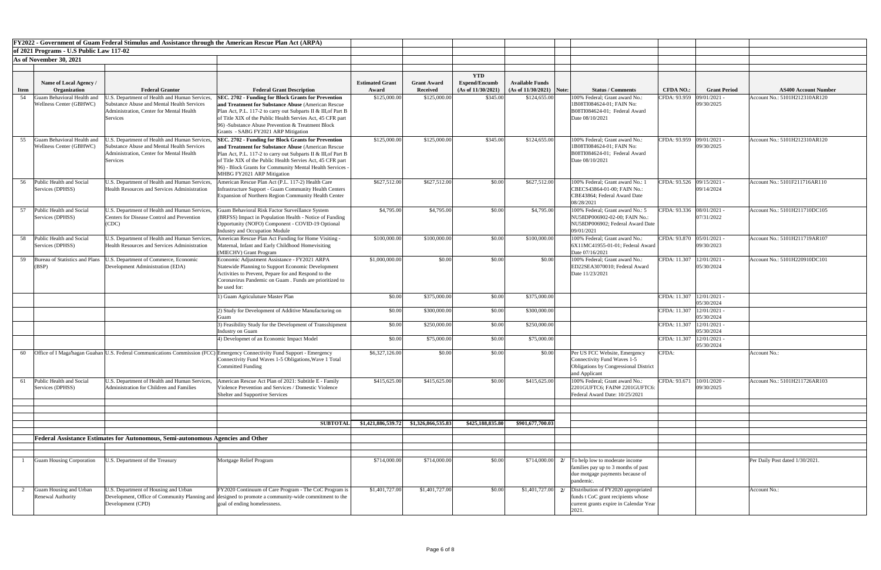|             |                                          | FY2022 - Government of Guam Federal Stimulus and Assistance through the American Rescue Plan Act (ARPA) |                                                                                                                                                                                     |                        |                    |                      |                            |                                                                        |                             |                              |                                 |
|-------------|------------------------------------------|---------------------------------------------------------------------------------------------------------|-------------------------------------------------------------------------------------------------------------------------------------------------------------------------------------|------------------------|--------------------|----------------------|----------------------------|------------------------------------------------------------------------|-----------------------------|------------------------------|---------------------------------|
|             | of 2021 Programs - U.S Public Law 117-02 |                                                                                                         |                                                                                                                                                                                     |                        |                    |                      |                            |                                                                        |                             |                              |                                 |
|             | As of November 30, 2021                  |                                                                                                         |                                                                                                                                                                                     |                        |                    |                      |                            |                                                                        |                             |                              |                                 |
|             |                                          |                                                                                                         |                                                                                                                                                                                     |                        |                    | <b>YTD</b>           |                            |                                                                        |                             |                              |                                 |
|             | Name of Local Agency /                   |                                                                                                         |                                                                                                                                                                                     | <b>Estimated Grant</b> | <b>Grant Award</b> | <b>Expend/Encumb</b> | <b>Available Funds</b>     |                                                                        |                             |                              |                                 |
| <b>Item</b> | Organization                             | <b>Federal Grantor</b>                                                                                  | <b>Federal Grant Description</b>                                                                                                                                                    | Award                  | <b>Received</b>    | (As of 11/30/2021)   | $(As of 11/30/2021)$ Note: | <b>Status / Comments</b>                                               | <b>CFDA NO.:</b>            | <b>Grant Period</b>          | <b>AS400 Account Number</b>     |
| 54          | Guam Behavioral Health and               | J.S. Department of Health and Human Services.                                                           | SEC. 2702 - Funding for Block Grants for Prevention                                                                                                                                 | \$125,000.00           | \$125,000.00       | \$345.00             | \$124,655.00               | 100% Federal; Grant award No.:                                         | CFDA: 93.959                | 09/01/2021 -                 | Account No.: 5101H212310AR120   |
|             | Wellness Center (GBHWC)                  | <b>Substance Abuse and Mental Health Services</b>                                                       | and Treatment for Substance Abuse (American Rescue)                                                                                                                                 |                        |                    |                      |                            | 1B08TI084624-01; FAIN No:                                              |                             | 09/30/2025                   |                                 |
|             |                                          | Administration, Center for Mental Health<br><b>Services</b>                                             | Plan Act, P.L. 117-2 to carry out Subparts II & III, of Part B<br>of Title XIX of the Public Health Servies Act, 45 CFR part                                                        |                        |                    |                      |                            | B08TI084624-01; Federal Award<br>Date 08/10/2021                       |                             |                              |                                 |
|             |                                          |                                                                                                         | 96) -Substance Abuse Prevention & Treatment Block                                                                                                                                   |                        |                    |                      |                            |                                                                        |                             |                              |                                 |
|             |                                          |                                                                                                         | Grants - SABG FY2021 ARP Mitigation                                                                                                                                                 |                        |                    |                      |                            |                                                                        |                             |                              |                                 |
| 55          | Guam Behavioral Health and               | U.S. Department of Health and Human Services,                                                           | <b>SEC. 2702 - Funding for Block Grants for Prevention</b>                                                                                                                          | \$125,000.00           | \$125,000.00       | \$345.00             | \$124,655.00               | 100% Federal; Grant award No.:                                         | CFDA: 93.959 09/01/2021 -   |                              | Account No.: 5101H212310AR120   |
|             | Wellness Center (GBHWC)                  | Substance Abuse and Mental Health Services                                                              | and Treatment for Substance Abuse (American Rescue)                                                                                                                                 |                        |                    |                      |                            | 1B08TI084624-01; FAIN No:                                              |                             | 09/30/2025                   |                                 |
|             |                                          | Administration, Center for Mental Health                                                                | Plan Act, P.L. 117-2 to carry out Subparts II & III, of Part B                                                                                                                      |                        |                    |                      |                            | B08TI084624-01; Federal Award<br>Date 08/10/2021                       |                             |                              |                                 |
|             |                                          | <b>Services</b>                                                                                         | of Title XIX of the Public Health Servies Act, 45 CFR part<br>96) - Block Grants for Community Mental Health Services -                                                             |                        |                    |                      |                            |                                                                        |                             |                              |                                 |
|             |                                          |                                                                                                         | MHBG FY2021 ARP Mitigation                                                                                                                                                          |                        |                    |                      |                            |                                                                        |                             |                              |                                 |
| 56          | Public Health and Social                 | U.S. Department of Health and Human Services,                                                           | American Rescue Plan Act (P.L. 117-2) Health Care                                                                                                                                   | \$627,512.00           | \$627,512.00       | \$0.00               | \$627,512.00               | 100% Federal; Grant award No.: 1                                       | CFDA: 93.526 09/15/2021 -   |                              | Account No.: 5101F211716AR110   |
|             | Services (DPHSS)                         | <b>Health Resources and Services Administration</b>                                                     | <b>Infrastructure Support - Guam Community Health Centers</b>                                                                                                                       |                        |                    |                      |                            | CBECS43864-01-00; FAIN No.:                                            |                             | 09/14/2024                   |                                 |
|             |                                          |                                                                                                         | Expansion of Northern Region Community Health Center                                                                                                                                |                        |                    |                      |                            | CBE43864; Federal Award Date<br>08/28/2021                             |                             |                              |                                 |
| 57          | Public Health and Social                 | U.S. Department of Health and Human Services,                                                           | Guam Behavioral Risk Factor Surveillance System                                                                                                                                     | \$4,795.00             | \$4,795.00         | \$0.00               | \$4,795.00                 | 100% Federal; Grant award No.: 5                                       | CFDA: 93.336 08/01/2021 -   |                              | Account No.: 5101H211710DC105   |
|             | Services (DPHSS)                         | <b>Centers for Disease Control and Prevention</b>                                                       | (BRFSS) Impact in Population Health - Notice of Funding                                                                                                                             |                        |                    |                      |                            | NU58DP006902-02-00; FAIN No.:                                          |                             | 07/31/2022                   |                                 |
|             |                                          | (CDC)                                                                                                   | Opportunity (NOFO) Component - COVID-19 Optional                                                                                                                                    |                        |                    |                      |                            | NU58DP006902; Federal Award Date                                       |                             |                              |                                 |
|             |                                          |                                                                                                         | <b>Industry and Occupation Module</b>                                                                                                                                               |                        |                    |                      |                            | 09/01/2021                                                             |                             |                              |                                 |
| 58          | Public Health and Social                 |                                                                                                         | U.S. Department of Health and Human Services, American Rescue Plan Act Funding for Home Visiting -                                                                                  | \$100,000.00           | \$100,000.00       | \$0.00               | \$100,000.00               | 100% Federal; Grant award No.:                                         | CFDA: 93.870 05/01/2021 -   | 09/30/2023                   | Account No.: 5101H211719AR107   |
|             | Services (DPHSS)                         | Health Resources and Services Administration                                                            | Maternal, Infant and Early Childhood Homevisiting<br>(MIECHV) Grant Program                                                                                                         |                        |                    |                      |                            | 6X11MC41955-01-01; Federal Award<br>Date 07/16/2021                    |                             |                              |                                 |
| 59          |                                          | Bureau of Statistics and Plans   U.S. Department of Commerce, Economic                                  | Economic Adjustment Assistance - FY2021 ARPA                                                                                                                                        | \$1,000,000.00         | \$0.00             | \$0.00               | \$0.00                     | 100% Federal; Grant award No.:                                         | CFDA: 11.307   12/01/2021 - |                              | Account No.: 5101H220910DC101   |
|             | (BSP)                                    | Development Administration (EDA)                                                                        | Statewide Planning to Support Economic Development                                                                                                                                  |                        |                    |                      |                            | ED22SEA3070010; Federal Award                                          |                             | 05/30/2024                   |                                 |
|             |                                          |                                                                                                         | Activities to Prevent, Pepare for and Respond to the                                                                                                                                |                        |                    |                      |                            | Date 11/23/2021                                                        |                             |                              |                                 |
|             |                                          |                                                                                                         | Coronavirus Pandemic on Guam . Funds are prioritized to<br>be used for:                                                                                                             |                        |                    |                      |                            |                                                                        |                             |                              |                                 |
|             |                                          |                                                                                                         | 1) Guam Agriculuture Master Plan                                                                                                                                                    | \$0.00                 | \$375,000.00       | \$0.00               | \$375,000.00               |                                                                        | CFDA: 11.307   12/01/2021 - |                              |                                 |
|             |                                          |                                                                                                         |                                                                                                                                                                                     |                        |                    |                      |                            |                                                                        |                             | 05/30/2024                   |                                 |
|             |                                          |                                                                                                         | 2) Study for Development of Additive Manufacturing on<br>iuam                                                                                                                       | \$0.00                 | \$300,000.00       | \$0.00               | \$300,000.00               |                                                                        | CFDA: 11.307                | $12/01/2021$ -<br>05/30/2024 |                                 |
|             |                                          |                                                                                                         | 3) Feasibility Study for the Development of Transshipment<br><b>Industry on Guam</b>                                                                                                | \$0.00                 | \$250,000.00       | \$0.00               | \$250,000.00               |                                                                        | CFDA: 11.307   12/01/2021 - | 05/30/2024                   |                                 |
|             |                                          |                                                                                                         | 4) Developmet of an Economic Impact Model                                                                                                                                           | \$0.00                 | \$75,000.00        | \$0.00               | \$75,000.00                |                                                                        | CFDA: 11.307   12/01/2021 - |                              |                                 |
|             |                                          |                                                                                                         |                                                                                                                                                                                     |                        |                    |                      |                            |                                                                        |                             | 05/30/2024                   |                                 |
| 60          |                                          |                                                                                                         | Office of I Maga hagan Guahan U.S. Federal Communications Commission (FCC) Emergency Connectivity Fund Support - Emergency<br>Connectivity Fund Waves 1-5 Obligations, Wave 1 Total | \$6,327,126.00         | \$0.00             | \$0.00               | \$0.00                     | Per US FCC Website, Emergency<br><b>Connectivity Fund Waves 1-5</b>    | CFDA:                       |                              | Account No.:                    |
|             |                                          |                                                                                                         | Committed Funding                                                                                                                                                                   |                        |                    |                      |                            | Obligations by Congressional District                                  |                             |                              |                                 |
|             |                                          |                                                                                                         |                                                                                                                                                                                     |                        |                    |                      |                            | and Applicant                                                          |                             |                              |                                 |
| 61          | Public Health and Social                 | U.S. Department of Health and Human Services,                                                           | American Rescue Act Plan of 2021: Subtitle E - Family                                                                                                                               | \$415,625.00           | \$415,625.00       | \$0.00               | \$415,625.00               | 100% Federal; Grant award No.:                                         | CFDA: 93.671                | $10/01/2020$ .               | Account No.: 5101H211726AR103   |
|             | Services (DPHSS)                         | Administration for Children and Families                                                                | Violence Prevention and Services / Domestic Violence                                                                                                                                |                        |                    |                      |                            | 2201GUFTC6; FAIN# 2201GUFTC6<br>Federal Award Date: 10/25/2021         |                             | 09/30/2025                   |                                 |
|             |                                          |                                                                                                         | <b>Shelter and Supportive Services</b>                                                                                                                                              |                        |                    |                      |                            |                                                                        |                             |                              |                                 |
|             |                                          |                                                                                                         |                                                                                                                                                                                     |                        |                    |                      |                            |                                                                        |                             |                              |                                 |
|             |                                          |                                                                                                         |                                                                                                                                                                                     |                        |                    |                      |                            |                                                                        |                             |                              |                                 |
|             |                                          |                                                                                                         | <b>SUBTOTAL</b>                                                                                                                                                                     | \$1,421,886,539.72     | \$1,326,866,535.83 | \$425,188,835.80     | \$901,677,700.03           |                                                                        |                             |                              |                                 |
|             |                                          | <b>Federal Assistance Estimates for Autonomous, Semi-autonomous Agencies and Other</b>                  |                                                                                                                                                                                     |                        |                    |                      |                            |                                                                        |                             |                              |                                 |
|             |                                          |                                                                                                         |                                                                                                                                                                                     |                        |                    |                      |                            |                                                                        |                             |                              |                                 |
|             |                                          |                                                                                                         |                                                                                                                                                                                     |                        |                    |                      |                            |                                                                        |                             |                              |                                 |
|             | <b>Guam Housing Corporation</b>          | U.S. Department of the Treasury                                                                         | Mortgage Relief Program                                                                                                                                                             | \$714,000.00           | \$714,000.00       | \$0.00               |                            | $$714,000.00$ 2/ To help low to moderate income                        |                             |                              | Per Daily Post dated 1/30/2021. |
|             |                                          |                                                                                                         |                                                                                                                                                                                     |                        |                    |                      |                            | families pay up to 3 months of past<br>due motgage payments because of |                             |                              |                                 |
|             |                                          |                                                                                                         |                                                                                                                                                                                     |                        |                    |                      |                            | pandemic.                                                              |                             |                              |                                 |
|             | Guam Housing and Urban                   | U.S. Department of Housing and Urban                                                                    | FY2020 Continuum of Care Program - The CoC Program is                                                                                                                               | \$1,401,727.00         | \$1,401,727.00     | \$0.00               | $$1,401,727.00$ 2/         | Distribution of FY2020 appropriated                                    |                             |                              | Account No.:                    |
|             | Renewal Authority                        |                                                                                                         | Development, Office of Community Planning and designed to promote a community-wide commitment to the                                                                                |                        |                    |                      |                            | funds t CoC grant recipients whose                                     |                             |                              |                                 |
|             |                                          | Development (CPD)                                                                                       | goal of ending homelessness.                                                                                                                                                        |                        |                    |                      |                            | current grants expire in Calendar Year                                 |                             |                              |                                 |
|             |                                          |                                                                                                         |                                                                                                                                                                                     |                        |                    |                      |                            | 2021.                                                                  |                             |                              |                                 |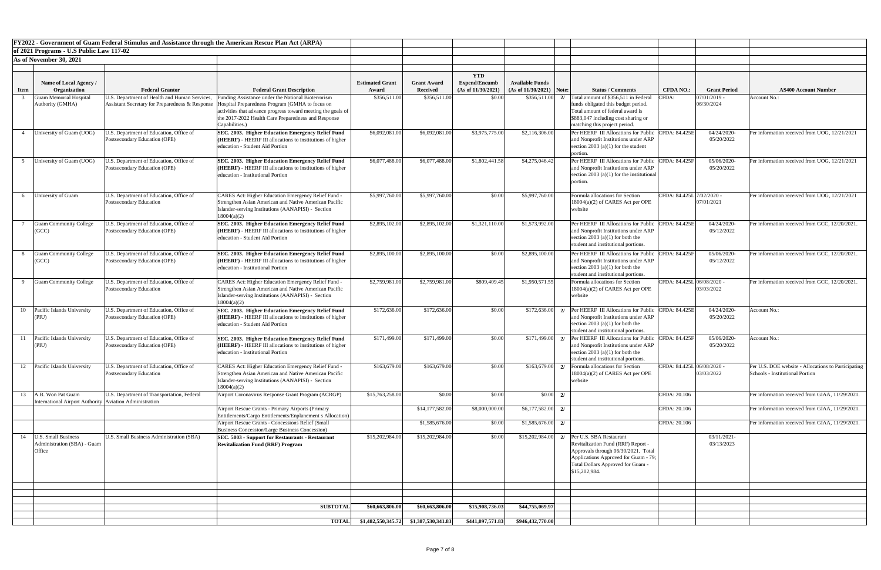|             |                                                         |                                                                          | FY2022 - Government of Guam Federal Stimulus and Assistance through the American Rescue Plan Act (ARPA)                                                          |                                             |                    |                                    |                            |                                                                                    |                            |                           |                                                    |
|-------------|---------------------------------------------------------|--------------------------------------------------------------------------|------------------------------------------------------------------------------------------------------------------------------------------------------------------|---------------------------------------------|--------------------|------------------------------------|----------------------------|------------------------------------------------------------------------------------|----------------------------|---------------------------|----------------------------------------------------|
|             | of 2021 Programs - U.S Public Law 117-02                |                                                                          |                                                                                                                                                                  |                                             |                    |                                    |                            |                                                                                    |                            |                           |                                                    |
|             | As of November 30, 2021                                 |                                                                          |                                                                                                                                                                  |                                             |                    |                                    |                            |                                                                                    |                            |                           |                                                    |
|             |                                                         |                                                                          |                                                                                                                                                                  |                                             |                    |                                    |                            |                                                                                    |                            |                           |                                                    |
|             | <b>Name of Local Agency</b> /                           |                                                                          |                                                                                                                                                                  | <b>Estimated Grant</b>                      | <b>Grant Award</b> | <b>YTD</b><br><b>Expend/Encumb</b> | <b>Available Funds</b>     |                                                                                    |                            |                           |                                                    |
| <b>Item</b> | Organization                                            | <b>Federal Grantor</b>                                                   | <b>Federal Grant Description</b>                                                                                                                                 | Award                                       | <b>Received</b>    | (As of 11/30/2021)                 | $(As of 11/30/2021)$ Note: | <b>Status / Comments</b>                                                           | <b>CFDA NO.:</b>           | <b>Grant Period</b>       | <b>AS400 Account Number</b>                        |
|             | <b>Guam Memorial Hospital</b>                           | I.S. Department of Health and Human Services,                            | Funding Assistance under the National Bioterrorism                                                                                                               | \$356,511.00                                | \$356,511.00       | \$0.00                             | \$356,511.00               | Total amount of \$356,511 in Federal                                               | CFDA:                      | $07/01/2019$ -            | Account No.:                                       |
|             | Authority (GMHA)                                        |                                                                          | Assistant Secretary for Preparedness & Response  Hospital Preparedness Program (GMHA to focus on<br>activities that advance progress toward meeting the goals of |                                             |                    |                                    |                            | funds obligated this budget period.<br>Total amount of federal award is            |                            | 06/30/2024                |                                                    |
|             |                                                         |                                                                          | the 2017-2022 Health Care Preparedness and Response                                                                                                              |                                             |                    |                                    |                            | \$883,047 including cost sharing or                                                |                            |                           |                                                    |
|             |                                                         |                                                                          | Capabilities.)                                                                                                                                                   |                                             |                    |                                    |                            | matching this project period.                                                      |                            |                           |                                                    |
|             | University of Guam (UOG)                                | I.S. Department of Education, Office of<br>Postsecondary Education (OPE) | SEC. 2003. Higher Education Emergency Relief Fund<br>(HEERF) - HEERF III allocations to institutions of higher                                                   | \$6,092,081.00                              | \$6,092,081.00     | \$3,975,775.00                     | \$2,116,306.00             | <b>Per HEERF III Allocations for Publi</b><br>and Nonprofit Institutions under ARP | CFDA: 84.425E              | 04/24/2020-<br>05/20/2022 | Per information received from UOG, 12/21/2021      |
|             |                                                         |                                                                          | education - Student Aid Portion                                                                                                                                  |                                             |                    |                                    |                            | section 2003 (a)(1) for the student                                                |                            |                           |                                                    |
|             |                                                         |                                                                          |                                                                                                                                                                  |                                             |                    |                                    |                            | portion.                                                                           |                            |                           |                                                    |
|             | University of Guam (UOG)                                | I.S. Department of Education, Office of                                  | SEC. 2003. Higher Education Emergency Relief Fund                                                                                                                | \$6,077,488.00                              | \$6,077,488.00     | \$1,802,441.58                     | \$4,275,046.42             | Per HEERF III Allocations for Public                                               | <b>CFDA: 84.425F</b>       | 05/06/2020                | Per information received from UOG, 12/21/2021      |
|             |                                                         | Postsecondary Education (OPE)                                            | ( <b>HEERF</b> ) - HEERF III allocations to institutions of higher<br>leducation - Institutional Portion                                                         |                                             |                    |                                    |                            | and Nonprofit Institutions under ARP<br>section 2003 (a)(1) for the institutional  |                            | 05/20/2022                |                                                    |
|             |                                                         |                                                                          |                                                                                                                                                                  |                                             |                    |                                    |                            | portion.                                                                           |                            |                           |                                                    |
|             |                                                         |                                                                          |                                                                                                                                                                  |                                             |                    |                                    |                            |                                                                                    |                            |                           |                                                    |
|             | University of Guam                                      | J.S. Department of Education, Office of<br>Postsecondary Education       | <b>CARES Act: Higher Education Emergency Relief Fund -</b><br>Strengthen Asian American and Native American Pacific                                              | \$5,997,760.00                              | \$5,997,760.00     | \$0.00                             | \$5,997,760.00             | Formula allocations for Section<br>18004(a)(2) of CARES Act per OPE                | CFDA: 84.425L 7/02/2020 -  | 07/01/2021                | Per information received from UOG, 12/21/2021      |
|             |                                                         |                                                                          | Islander-serving Institutions (AANAPISI) - Section                                                                                                               |                                             |                    |                                    |                            | website                                                                            |                            |                           |                                                    |
|             |                                                         |                                                                          | 18004(a)(2)                                                                                                                                                      |                                             |                    |                                    |                            |                                                                                    |                            |                           |                                                    |
|             | <b>Guam Community College</b><br>(GCC)                  | J.S. Department of Education, Office of<br>Postsecondary Education (OPE) | SEC. 2003. Higher Education Emergency Relief Fund<br>(HEERF) - HEERF III allocations to institutions of higher                                                   | \$2,895,102.00                              | \$2,895,102.00     | \$1,321,110.00                     | \$1,573,992.00             | Per HEERF III Allocations for Publi<br>and Nonprofit Institutions under ARP        | CFDA: 84.425E              | 04/24/2020<br>05/12/2022  | Per information received from GCC, 12/20/2021.     |
|             |                                                         |                                                                          | education - Student Aid Portion                                                                                                                                  |                                             |                    |                                    |                            | section 2003 (a)(1) for both the                                                   |                            |                           |                                                    |
|             |                                                         |                                                                          |                                                                                                                                                                  |                                             |                    |                                    |                            | student and institutional portions.                                                |                            |                           |                                                    |
|             | <b>Guam Community College</b>                           | I.S. Department of Education, Office of                                  | <b>SEC. 2003. Higher Education Emergency Relief Fund</b>                                                                                                         | \$2,895,100.00                              | \$2,895,100.00     | \$0.00                             | \$2,895,100.00             | Per HEERF III Allocations for Publi                                                | <b>CFDA: 84.425F</b>       | 05/06/2020                | Per information received from GCC, 12/20/2021.     |
|             | (GCC)                                                   | Postsecondary Education (OPE)                                            | (HEERF) - HEERF III allocations to institutions of higher<br>education - Institutional Portion                                                                   |                                             |                    |                                    |                            | and Nonprofit Institutions under ARP<br>section 2003 (a)(1) for both the           |                            | 05/12/2022                |                                                    |
|             |                                                         |                                                                          |                                                                                                                                                                  |                                             |                    |                                    |                            | student and institutional portions.                                                |                            |                           |                                                    |
|             | <b>Guam Community College</b>                           | I.S. Department of Education, Office of                                  | <b>CARES Act: Higher Education Emergency Relief Fund -</b>                                                                                                       | \$2,759,981.00                              | \$2,759,981.00     | \$809,409.45                       | \$1,950,571.55             | Formula allocations for Section                                                    | CFDA: 84.425L 06/08/2020 - |                           | Per information received from GCC, 12/20/2021      |
|             |                                                         | Postsecondary Education                                                  | Strengthen Asian American and Native American Pacific                                                                                                            |                                             |                    |                                    |                            | 18004(a)(2) of CARES Act per OPE                                                   |                            | 03/03/2022                |                                                    |
|             |                                                         |                                                                          | Islander-serving Institutions (AANAPISI) - Section<br>18004(a)(2)                                                                                                |                                             |                    |                                    |                            | website                                                                            |                            |                           |                                                    |
|             | 10   Pacific Islands University                         | J.S. Department of Education, Office of                                  | SEC. 2003. Higher Education Emergency Relief Fund                                                                                                                | \$172,636.00                                | \$172,636.00       | \$0.00                             | \$172,636.00<br>2/         | Per HEERF III Allocations for Publi-                                               | <b>CFDA: 84.425E</b>       | 04/24/2020                | Account No.:                                       |
|             | (PIU)                                                   | Postsecondary Education (OPE)                                            | (HEERF) - HEERF III allocations to institutions of higher                                                                                                        |                                             |                    |                                    |                            | and Nonprofit Institutions under ARP                                               |                            | 05/20/2022                |                                                    |
|             |                                                         |                                                                          | education - Student Aid Portion                                                                                                                                  |                                             |                    |                                    |                            | section 2003 (a)(1) for both the<br>student and institutional portions.            |                            |                           |                                                    |
|             | Pacific Islands University                              | J.S. Department of Education, Office of                                  | <b>SEC. 2003. Higher Education Emergency Relief Fund</b>                                                                                                         | \$171,499.00                                | \$171,499.00       | \$0.00                             | \$171,499.00<br>2/         | <b>Per HEERF III Allocations for Publi</b>                                         | CFDA: 84.425F              | 05/06/2020                | Account No.:                                       |
|             | (PIU)                                                   | Postsecondary Education (OPE)                                            | (HEERF) - HEERF III allocations to institutions of higher                                                                                                        |                                             |                    |                                    |                            | and Nonprofit Institutions under ARP                                               |                            | 05/20/2022                |                                                    |
|             |                                                         |                                                                          | education - Institutional Portion                                                                                                                                |                                             |                    |                                    |                            | section 2003 (a)(1) for both the<br>student and institutional portions.            |                            |                           |                                                    |
| 12          | Pacific Islands University                              | J.S. Department of Education, Office of                                  | CARES Act: Higher Education Emergency Relief Fund -                                                                                                              | \$163,679.00                                | \$163,679.00       | \$0.00                             | \$163,679.00               | Formula allocations for Section                                                    | CFDA: 84.425L 06/08/2020 - |                           | Per U.S. DOE website - Allocations to Participatin |
|             |                                                         | Postsecondary Education                                                  | Strengthen Asian American and Native American Pacific                                                                                                            |                                             |                    |                                    |                            | $18004(a)(2)$ of CARES Act per OPE                                                 |                            | 03/03/2022                | Schools - Institutional Portion                    |
|             |                                                         |                                                                          | Islander-serving Institutions (AANAPISI) - Section                                                                                                               |                                             |                    |                                    |                            | website                                                                            |                            |                           |                                                    |
| 13          | A.B. Won Pat Guam                                       | U.S. Department of Transportation, Federal                               | 18004(a)(2)<br>Airport Coronavirus Response Grant Program (ACRGP)                                                                                                | \$15,763,258.00                             | \$0.00             | \$0.00                             | \$0.00<br>$\overline{2}$   |                                                                                    | CFDA: 20.106               |                           | Per information received from GIAA, 11/29/2021.    |
|             | International Airport Authority Aviation Administration |                                                                          |                                                                                                                                                                  |                                             |                    |                                    |                            |                                                                                    |                            |                           |                                                    |
|             |                                                         |                                                                          | Airport Rescue Grants - Primary Airports (Primary                                                                                                                |                                             | \$14,177,582.00    | \$8,000,000.00                     | \$6,177,582.00<br>2/       |                                                                                    | CFDA: 20.106               |                           | Per information received from GIAA, 11/29/2021.    |
|             |                                                         |                                                                          | Entitlements/Cargo Entitlements/Enplanement s Allocation)<br>Airport Rescue Grants - Concessions Relief (Small                                                   |                                             | \$1,585,676.00     | \$0.00                             | \$1,585,676.00             |                                                                                    | CFDA: 20.106               |                           | Per information received from GIAA, 11/29/2021.    |
|             |                                                         |                                                                          | <b>Business Concession/Large Business Concession)</b>                                                                                                            |                                             |                    |                                    |                            |                                                                                    |                            |                           |                                                    |
| 14          | <b>I.S. Small Business</b>                              | U.S. Small Business Administration (SBA)                                 | SEC. 5003 - Support for Restaurants - Restaurant                                                                                                                 | \$15,202,984.00                             | \$15,202,984.00    | \$0.00                             | \$15,202,984.00            | Per U.S. SBA Restaurant                                                            |                            | 03/11/2021-               |                                                    |
|             | Administration (SBA) - Guam<br>Office                   |                                                                          | <b>Revitalization Fund (RRF) Program</b>                                                                                                                         |                                             |                    |                                    |                            | Revitalization Fund (RRF) Report -<br>Approvals through 06/30/2021. Total          |                            | 03/13/2023                |                                                    |
|             |                                                         |                                                                          |                                                                                                                                                                  |                                             |                    |                                    |                            | Applications Approved for Guam - 79;                                               |                            |                           |                                                    |
|             |                                                         |                                                                          |                                                                                                                                                                  |                                             |                    |                                    |                            | Total Dollars Approved for Guam -                                                  |                            |                           |                                                    |
|             |                                                         |                                                                          |                                                                                                                                                                  |                                             |                    |                                    |                            | \$15,202,984.                                                                      |                            |                           |                                                    |
|             |                                                         |                                                                          |                                                                                                                                                                  |                                             |                    |                                    |                            |                                                                                    |                            |                           |                                                    |
|             |                                                         |                                                                          |                                                                                                                                                                  |                                             |                    |                                    |                            |                                                                                    |                            |                           |                                                    |
|             |                                                         |                                                                          | <b>SUBTOTAL</b>                                                                                                                                                  | \$60,663,806.00                             | \$60,663,806.00    | \$15,908,736.03                    | \$44,755,069.97            |                                                                                    |                            |                           |                                                    |
|             |                                                         |                                                                          |                                                                                                                                                                  |                                             |                    |                                    |                            |                                                                                    |                            |                           |                                                    |
|             |                                                         |                                                                          |                                                                                                                                                                  | TOTAL \$1,482,550,345.72 \$1,387,530,341.83 |                    | \$441,097,571.83                   | \$946,432,770.00           |                                                                                    |                            |                           |                                                    |